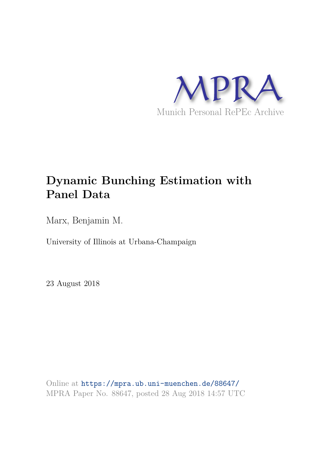

# **Dynamic Bunching Estimation with Panel Data**

Marx, Benjamin M.

University of Illinois at Urbana-Champaign

23 August 2018

Online at https://mpra.ub.uni-muenchen.de/88647/ MPRA Paper No. 88647, posted 28 Aug 2018 14:57 UTC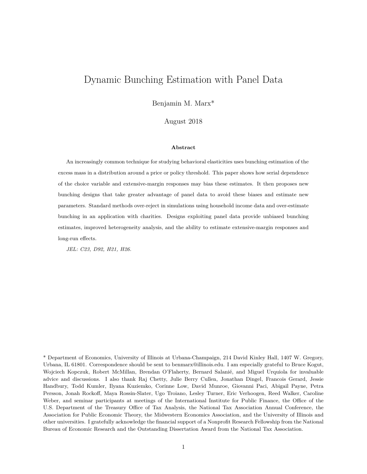## Dynamic Bunching Estimation with Panel Data

Benjamin M. Marx\*

August 2018

#### **Abstract**

An increasingly common technique for studying behavioral elasticities uses bunching estimation of the excess mass in a distribution around a price or policy threshold. This paper shows how serial dependence of the choice variable and extensive-margin responses may bias these estimates. It then proposes new bunching designs that take greater advantage of panel data to avoid these biases and estimate new parameters. Standard methods over-reject in simulations using household income data and over-estimate bunching in an application with charities. Designs exploiting panel data provide unbiased bunching estimates, improved heterogeneity analysis, and the ability to estimate extensive-margin responses and long-run effects.

*JEL: C23, D92, H21, H26.*

\* Department of Economics, University of Illinois at Urbana-Champaign, 214 David Kinley Hall, 1407 W. Gregory, Urbana, IL 61801. Correspondence should be sent to benmarx@illinois.edu. I am especially grateful to Bruce Kogut, Wojciech Kopczuk, Robert McMillan, Brendan O'Flaherty, Bernard Salanié, and Miguel Urquiola for invaluable advice and discussions. I also thank Raj Chetty, Julie Berry Cullen, Jonathan Dingel, Francois Gerard, Jessie Handbury, Todd Kumler, Ilyana Kuziemko, Corinne Low, David Munroe, Giovanni Paci, Abigail Payne, Petra Persson, Jonah Rockoff, Maya Rossin-Slater, Ugo Troiano, Lesley Turner, Eric Verhoogen, Reed Walker, Caroline Weber, and seminar participants at meetings of the International Institute for Public Finance, the Office of the U.S. Department of the Treasury Office of Tax Analysis, the National Tax Association Annual Conference, the Association for Public Economic Theory, the Midwestern Economics Association, and the University of Illinois and other universities. I gratefully acknowledge the financial support of a Nonprofit Research Fellowship from the National Bureau of Economic Research and the Outstanding Dissertation Award from the National Tax Association.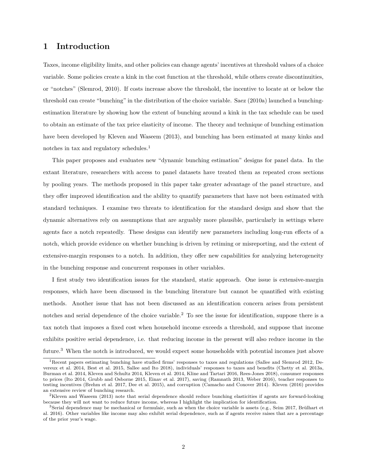### **1 Introduction**

Taxes, income eligibility limits, and other policies can change agents' incentives at threshold values of a choice variable. Some policies create a kink in the cost function at the threshold, while others create discontinuities, or "notches" (Slemrod, 2010). If costs increase above the threshold, the incentive to locate at or below the threshold can create "bunching" in the distribution of the choice variable. Saez (2010a) launched a bunchingestimation literature by showing how the extent of bunching around a kink in the tax schedule can be used to obtain an estimate of the tax price elasticity of income. The theory and technique of bunching estimation have been developed by Kleven and Waseem (2013), and bunching has been estimated at many kinks and notches in tax and regulatory schedules.<sup>1</sup>

This paper proposes and evaluates new "dynamic bunching estimation" designs for panel data. In the extant literature, researchers with access to panel datasets have treated them as repeated cross sections by pooling years. The methods proposed in this paper take greater advantage of the panel structure, and they offer improved identification and the ability to quantify parameters that have not been estimated with standard techniques. I examine two threats to identification for the standard design and show that the dynamic alternatives rely on assumptions that are arguably more plausible, particularly in settings where agents face a notch repeatedly. These designs can identify new parameters including long-run effects of a notch, which provide evidence on whether bunching is driven by retiming or misreporting, and the extent of extensive-margin responses to a notch. In addition, they offer new capabilities for analyzing heterogeneity in the bunching response and concurrent responses in other variables.

I first study two identification issues for the standard, static approach. One issue is extensive-margin responses, which have been discussed in the bunching literature but cannot be quantified with existing methods. Another issue that has not been discussed as an identification concern arises from persistent notches and serial dependence of the choice variable.<sup>2</sup> To see the issue for identification, suppose there is a tax notch that imposes a fixed cost when household income exceeds a threshold, and suppose that income exhibits positive serial dependence, i.e. that reducing income in the present will also reduce income in the future.<sup>3</sup> When the notch is introduced, we would expect some households with potential incomes just above

<sup>1</sup>Recent papers estimating bunching have studied firms' responses to taxes and regulations (Sallee and Slemrod 2012, Devereux et al. 2014, Best et al. 2015, Sallee and Ito 2018), individuals' responses to taxes and benefits (Chetty et al. 2013a, Burman et al. 2014, Kleven and Schultz 2014, Kleven et al. 2014, Kline and Tartari 2016, Rees-Jones 2018), consumer responses to prices (Ito 2014, Grubb and Osborne 2015, Einav et al. 2017), saving (Ramnath 2013, Weber 2016), teacher responses to testing incentives (Brehm et al. 2017, Dee et al. 2015), and corruption (Camacho and Conover 2014). Kleven (2016) provides an extensive review of bunching research.

<sup>&</sup>lt;sup>2</sup>Kleven and Waseem (2013) note that serial dependence should reduce bunching elasticities if agents are forward-looking because they will not want to reduce future income, whereas I highlight the implication for identification.

 $3$ Serial dependence may be mechanical or formulaic, such as when the choice variable is assets (e.g., Seim 2017, Brülhart et al. 2016). Other variables like income may also exhibit serial dependence, such as if agents receive raises that are a percentage of the prior year's wage.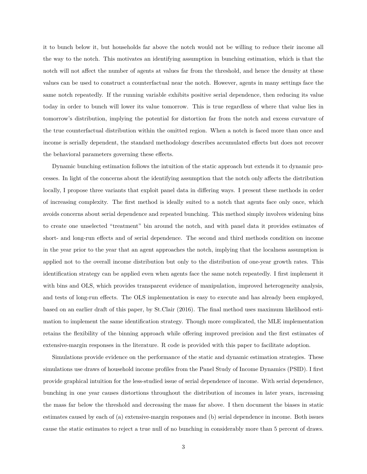it to bunch below it, but households far above the notch would not be willing to reduce their income all the way to the notch. This motivates an identifying assumption in bunching estimation, which is that the notch will not affect the number of agents at values far from the threshold, and hence the density at these values can be used to construct a counterfactual near the notch. However, agents in many settings face the same notch repeatedly. If the running variable exhibits positive serial dependence, then reducing its value today in order to bunch will lower its value tomorrow. This is true regardless of where that value lies in tomorrow's distribution, implying the potential for distortion far from the notch and excess curvature of the true counterfactual distribution within the omitted region. When a notch is faced more than once and income is serially dependent, the standard methodology describes accumulated effects but does not recover the behavioral parameters governing these effects.

Dynamic bunching estimation follows the intuition of the static approach but extends it to dynamic processes. In light of the concerns about the identifying assumption that the notch only affects the distribution locally, I propose three variants that exploit panel data in differing ways. I present these methods in order of increasing complexity. The first method is ideally suited to a notch that agents face only once, which avoids concerns about serial dependence and repeated bunching. This method simply involves widening bins to create one unselected "treatment" bin around the notch, and with panel data it provides estimates of short- and long-run effects and of serial dependence. The second and third methods condition on income in the year prior to the year that an agent approaches the notch, implying that the localness assumption is applied not to the overall income distribution but only to the distribution of one-year growth rates. This identification strategy can be applied even when agents face the same notch repeatedly. I first implement it with bins and OLS, which provides transparent evidence of manipulation, improved heterogeneity analysis, and tests of long-run effects. The OLS implementation is easy to execute and has already been employed, based on an earlier draft of this paper, by St.Clair (2016). The final method uses maximum likelihood estimation to implement the same identification strategy. Though more complicated, the MLE implementation retains the flexibility of the binning approach while offering improved precision and the first estimates of extensive-margin responses in the literature. R code is provided with this paper to facilitate adoption.

Simulations provide evidence on the performance of the static and dynamic estimation strategies. These simulations use draws of household income profiles from the Panel Study of Income Dynamics (PSID). I first provide graphical intuition for the less-studied issue of serial dependence of income. With serial dependence, bunching in one year causes distortions throughout the distribution of incomes in later years, increasing the mass far below the threshold and decreasing the mass far above. I then document the biases in static estimates caused by each of (a) extensive-margin responses and (b) serial dependence in income. Both issues cause the static estimates to reject a true null of no bunching in considerably more than 5 percent of draws.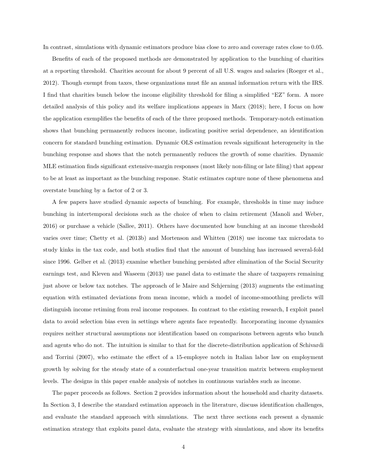In contrast, simulations with dynamic estimators produce bias close to zero and coverage rates close to 0.05.

Benefits of each of the proposed methods are demonstrated by application to the bunching of charities at a reporting threshold. Charities account for about 9 percent of all U.S. wages and salaries (Roeger et al., 2012). Though exempt from taxes, these organizations must file an annual information return with the IRS. I find that charities bunch below the income eligibility threshold for filing a simplified "EZ" form. A more detailed analysis of this policy and its welfare implications appears in Marx (2018); here, I focus on how the application exemplifies the benefits of each of the three proposed methods. Temporary-notch estimation shows that bunching permanently reduces income, indicating positive serial dependence, an identification concern for standard bunching estimation. Dynamic OLS estimation reveals significant heterogeneity in the bunching response and shows that the notch permanently reduces the growth of some charities. Dynamic MLE estimation finds significant extensive-margin responses (most likely non-filing or late filing) that appear to be at least as important as the bunching response. Static estimates capture none of these phenomena and overstate bunching by a factor of 2 or 3.

A few papers have studied dynamic aspects of bunching. For example, thresholds in time may induce bunching in intertemporal decisions such as the choice of when to claim retirement (Manoli and Weber, 2016) or purchase a vehicle (Sallee, 2011). Others have documented how bunching at an income threshold varies over time; Chetty et al. (2013b) and Mortenson and Whitten (2018) use income tax microdata to study kinks in the tax code, and both studies find that the amount of bunching has increased several-fold since 1996. Gelber et al. (2013) examine whether bunching persisted after elimination of the Social Security earnings test, and Kleven and Waseem (2013) use panel data to estimate the share of taxpayers remaining just above or below tax notches. The approach of le Maire and Schjerning (2013) augments the estimating equation with estimated deviations from mean income, which a model of income-smoothing predicts will distinguish income retiming from real income responses. In contrast to the existing research, I exploit panel data to avoid selection bias even in settings where agents face repeatedly. Incorporating income dynamics requires neither structural assumptions nor identification based on comparisons between agents who bunch and agents who do not. The intuition is similar to that for the discrete-distribution application of Schivardi and Torrini (2007), who estimate the effect of a 15-employee notch in Italian labor law on employment growth by solving for the steady state of a counterfactual one-year transition matrix between employment levels. The designs in this paper enable analysis of notches in continuous variables such as income.

The paper proceeds as follows. Section 2 provides information about the household and charity datasets. In Section 3, I describe the standard estimation approach in the literature, discuss identification challenges, and evaluate the standard approach with simulations. The next three sections each present a dynamic estimation strategy that exploits panel data, evaluate the strategy with simulations, and show its benefits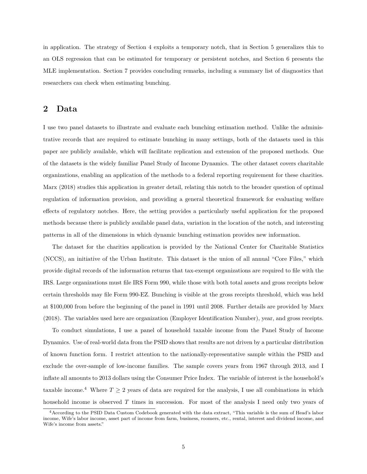in application. The strategy of Section 4 exploits a temporary notch, that in Section 5 generalizes this to an OLS regression that can be estimated for temporary or persistent notches, and Section 6 presents the MLE implementation. Section 7 provides concluding remarks, including a summary list of diagnostics that researchers can check when estimating bunching.

### **2 Data**

I use two panel datasets to illustrate and evaluate each bunching estimation method. Unlike the administrative records that are required to estimate bunching in many settings, both of the datasets used in this paper are publicly available, which will facilitate replication and extension of the proposed methods. One of the datasets is the widely familiar Panel Study of Income Dynamics. The other dataset covers charitable organizations, enabling an application of the methods to a federal reporting requirement for these charities. Marx (2018) studies this application in greater detail, relating this notch to the broader question of optimal regulation of information provision, and providing a general theoretical framework for evaluating welfare effects of regulatory notches. Here, the setting provides a particularly useful application for the proposed methods because there is publicly available panel data, variation in the location of the notch, and interesting patterns in all of the dimensions in which dynamic bunching estimation provides new information.

The dataset for the charities application is provided by the National Center for Charitable Statistics (NCCS), an initiative of the Urban Institute. This dataset is the union of all annual "Core Files," which provide digital records of the information returns that tax-exempt organizations are required to file with the IRS. Large organizations must file IRS Form 990, while those with both total assets and gross receipts below certain thresholds may file Form 990-EZ. Bunching is visible at the gross receipts threshold, which was held at \$100,000 from before the beginning of the panel in 1991 until 2008. Further details are provided by Marx (2018). The variables used here are organization (Employer Identification Number), year, and gross receipts.

To conduct simulations, I use a panel of household taxable income from the Panel Study of Income Dynamics. Use of real-world data from the PSID shows that results are not driven by a particular distribution of known function form. I restrict attention to the nationally-representative sample within the PSID and exclude the over-sample of low-income families. The sample covers years from 1967 through 2013, and I inflate all amounts to 2013 dollars using the Consumer Price Index. The variable of interest is the household's taxable income.<sup>4</sup> Where  $T \geq 2$  years of data are required for the analysis, I use all combinations in which household income is observed  $T$  times in succession. For most of the analysis I need only two years of

<sup>4</sup>According to the PSID Data Custom Codebook generated with the data extract, "This variable is the sum of Head's labor income, Wife's labor income, asset part of income from farm, business, roomers, etc., rental, interest and dividend income, and Wife's income from assets."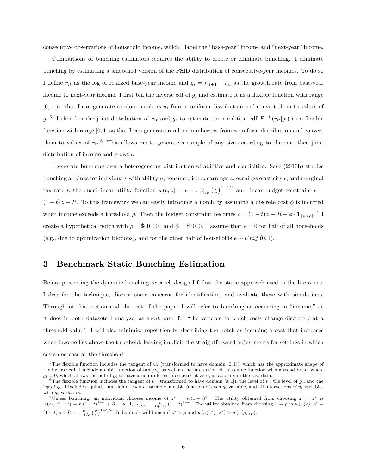consecutive observations of household income, which I label the "base-year" income and "next-year" income.

Comparisons of bunching estimators requires the ability to create or eliminate bunching. I eliminate bunching by estimating a smoothed version of the PSID distribution of consecutive-year incomes. To do so I define  $r_{it}$  as the log of realized base-year income and  $g_i = r_{it+1} - r_{it}$  as the growth rate from base-year income to next-year income. I first bin the inverse cdf of  $g_i$  and estimate it as a flexible function with range  $[0,1]$  so that I can generate random numbers  $u_i$  from a uniform distribution and convert them to values of  $g_i$ <sup>5</sup> I then bin the joint distribution of  $r_{it}$  and  $g_i$  to estimate the condition cdf  $F^{-1}(r_{it}|g_i)$  as a flexible function with range [0, 1] so that I can generate random numbers  $v_i$  from a uniform distribution and convert them to values of  $r_{it}$ .<sup>6</sup> This allows me to generate a sample of any size according to the smoothed joint distribution of income and growth.

I generate bunching over a heterogeneous distribution of abilities and elasticities. Saez (2010b) studies bunching at kinks for individuals with ability n, consumption c, earnings z, earnings elasticity  $\epsilon$ , and marginal tax rate t, the quasi-linear utility function  $u(c, z) = c - \frac{n}{1+1/e} \left(\frac{z}{n}\right)^{1+1/e}$  and linear budget constraint  $c =$  $(1-t) z + R$ . To this framework we can easily introduce a notch by assuming a discrete cost  $\phi$  is incurred when income exceeds a threshold  $\rho$ . Then the budget constraint becomes  $c = (1-t)z + R - \phi \cdot \mathbf{1}_{\{z > \rho\}}$ .<sup>7</sup> I create a hypothetical notch with  $\rho = $40,000$  and  $\phi = $1000$ . I assume that  $e = 0$  for half of all households (e.g., due to optimization frictions), and for the other half of households  $e \sim Unif(0,1)$ .

## **3 Benchmark Static Bunching Estimation**

Before presenting the dynamic bunching research design I follow the static approach used in the literature. I describe the technique, discuss some concerns for identification, and evaluate these with simulations. Throughout this section and the rest of the paper I will refer to bunching as occurring in "income," as it does in both datasets I analyze, as short-hand for "the variable in which costs change discretely at a threshold value." I will also minimize repetition by describing the notch as inducing a cost that increases when income lies above the threshold, leaving implicit the straightforward adjustments for settings in which costs decrease at the threshold.

<sup>&</sup>lt;sup>5</sup>The flexible function includes the tangent of  $w_i$  (transformed to have domain [0,1]), which has the approximate shape of the inverse cdf. I include a cubic function of  $\tan(u_i)$  as well as the interaction of this cubic function with a trend break where  $g_i = 0$ , which allows the pdf of  $g_i$  to have a non-differentiable peak at zero, as appears in the raw data.

<sup>&</sup>lt;sup>6</sup>The flexible function includes the tangent of  $v_i$  (transformed to have domain [0,1]), the level of  $v_i$ , the level of  $g_i$ , and the log of  $g_i$ . I include a quintic function of each  $v_i$  variable, a cubic function of each  $g_i$  variable, and all interactions of  $v_i$  variables with  $g_i$  variables.

<sup>&</sup>lt;sup>7</sup>Unless bunching, an individual chooses income of  $z^* = n(1-t)^{\epsilon}$ . The utility obtained from choosing  $z = z^*$  is  $u(c(z^*), z^*) = n(1-t)^{1+\epsilon} + R - \phi \cdot \mathbf{1}_{\{z^* > \rho\}} - \frac{n}{1+1/\epsilon} (1-t)^{1+\epsilon}$ . The utility obtained from choosing  $z = \rho$  is  $u(c(\rho), \rho) =$  $(1-t)\rho + R - \frac{n}{1+1/\epsilon} \left(\frac{\rho}{n}\right)^{1+1/\epsilon}$ . Individuals will bunch if  $z^* > \rho$  and  $u(c(z^*), z^*) > u(c(\rho), \rho)$ .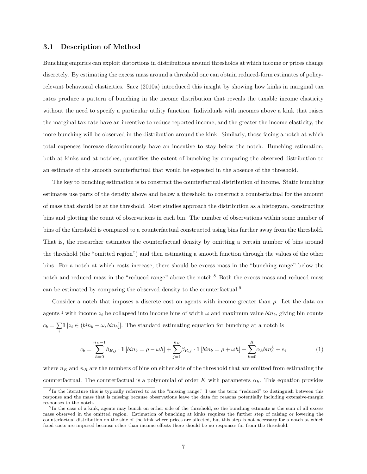#### **3.1 Description of Method**

Bunching empirics can exploit distortions in distributions around thresholds at which income or prices change discretely. By estimating the excess mass around a threshold one can obtain reduced-form estimates of policyrelevant behavioral elasticities. Saez (2010a) introduced this insight by showing how kinks in marginal tax rates produce a pattern of bunching in the income distribution that reveals the taxable income elasticity without the need to specify a particular utility function. Individuals with incomes above a kink that raises the marginal tax rate have an incentive to reduce reported income, and the greater the income elasticity, the more bunching will be observed in the distribution around the kink. Similarly, those facing a notch at which total expenses increase discontinuously have an incentive to stay below the notch. Bunching estimation, both at kinks and at notches, quantifies the extent of bunching by comparing the observed distribution to an estimate of the smooth counterfactual that would be expected in the absence of the threshold.

The key to bunching estimation is to construct the counterfactual distribution of income. Static bunching estimates use parts of the density above and below a threshold to construct a counterfactual for the amount of mass that should be at the threshold. Most studies approach the distribution as a histogram, constructing bins and plotting the count of observations in each bin. The number of observations within some number of bins of the threshold is compared to a counterfactual constructed using bins further away from the threshold. That is, the researcher estimates the counterfactual density by omitting a certain number of bins around the threshold (the "omitted region") and then estimating a smooth function through the values of the other bins. For a notch at which costs increase, there should be excess mass in the "bunching range" below the notch and reduced mass in the "reduced range" above the notch.<sup>8</sup> Both the excess mass and reduced mass can be estimated by comparing the observed density to the counterfactual.<sup>9</sup>

Consider a notch that imposes a discrete cost on agents with income greater than  $\rho$ . Let the data on agents i with income  $z_i$  be collapsed into income bins of width  $\omega$  and maximum value  $\sin_b$ , giving bin counts  $c_b=\sum$  $\sum_{i}$ **1** [ $z_i$  ∈ ( $bin_b - \omega, bin_b$ ]]. The standard estimating equation for bunching at a notch is

$$
c_b = \sum_{h=0}^{n_E - 1} \beta_{E,j} \cdot \mathbf{1} \left[ bin_b = \rho - \omega h \right] + \sum_{j=1}^{n_R} \beta_{R,j} \cdot \mathbf{1} \left[ bin_b = \rho + \omega h \right] + \sum_{k=0}^{K} \alpha_k bin_b^k + e_i \tag{1}
$$

where  $n_E$  and  $n_R$  are the numbers of bins on either side of the threshold that are omitted from estimating the counterfactual. The counterfactual is a polynomial of order K with parameters  $\alpha_k$ . This equation provides

<sup>&</sup>lt;sup>8</sup>In the literature this is typically referred to as the "missing range." I use the term "reduced" to distinguish between this response and the mass that is missing because observations leave the data for reasons potentially including extensive-margin responses to the notch.

 $^{9}$ In the case of a kink, agents may bunch on either side of the threshold, so the bunching estimate is the sum of all excess mass observed in the omitted region. Estimation of bunching at kinks requires the further step of raising or lowering the counterfactual distribution on the side of the kink where prices are affected, but this step is not necessary for a notch at which fixed costs are imposed because other than income effects there should be no responses far from the threshold.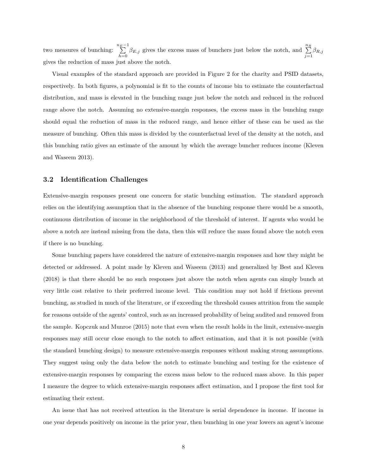two measures of bunching:  $\sum_{E}^{n_E-1}$  $\sum_{h=0}^{n_E-1} \beta_{E,j}$  gives the excess mass of bunchers just below the notch, and  $\sum_{j=1}^{n_E}$  $\sum_{j=1} \beta_{R,j}$ gives the reduction of mass just above the notch.

Visual examples of the standard approach are provided in Figure 2 for the charity and PSID datasets, respectively. In both figures, a polynomial is fit to the counts of income bin to estimate the counterfactual distribution, and mass is elevated in the bunching range just below the notch and reduced in the reduced range above the notch. Assuming no extensive-margin responses, the excess mass in the bunching range should equal the reduction of mass in the reduced range, and hence either of these can be used as the measure of bunching. Often this mass is divided by the counterfactual level of the density at the notch, and this bunching ratio gives an estimate of the amount by which the average buncher reduces income (Kleven and Waseem 2013).

#### **3.2 Identification Challenges**

Extensive-margin responses present one concern for static bunching estimation. The standard approach relies on the identifying assumption that in the absence of the bunching response there would be a smooth, continuous distribution of income in the neighborhood of the threshold of interest. If agents who would be above a notch are instead missing from the data, then this will reduce the mass found above the notch even if there is no bunching.

Some bunching papers have considered the nature of extensive-margin responses and how they might be detected or addressed. A point made by Kleven and Waseem (2013) and generalized by Best and Kleven (2018) is that there should be no such responses just above the notch when agents can simply bunch at very little cost relative to their preferred income level. This condition may not hold if frictions prevent bunching, as studied in much of the literature, or if exceeding the threshold causes attrition from the sample for reasons outside of the agents' control, such as an increased probability of being audited and removed from the sample. Kopczuk and Munroe (2015) note that even when the result holds in the limit, extensive-margin responses may still occur close enough to the notch to affect estimation, and that it is not possible (with the standard bunching design) to measure extensive-margin responses without making strong assumptions. They suggest using only the data below the notch to estimate bunching and testing for the existence of extensive-margin responses by comparing the excess mass below to the reduced mass above. In this paper I measure the degree to which extensive-margin responses affect estimation, and I propose the first tool for estimating their extent.

An issue that has not received attention in the literature is serial dependence in income. If income in one year depends positively on income in the prior year, then bunching in one year lowers an agent's income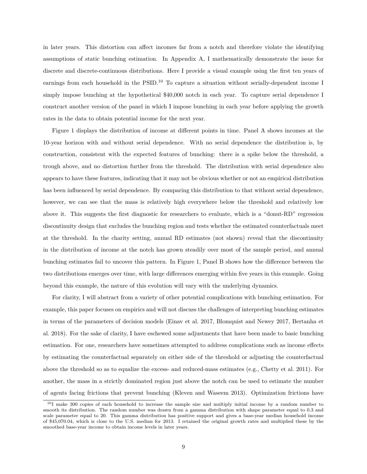in later years. This distortion can affect incomes far from a notch and therefore violate the identifying assumptions of static bunching estimation. In Appendix A, I mathematically demonstrate the issue for discrete and discrete-continuous distributions. Here I provide a visual example using the first ten years of earnings from each household in the  $PSID<sup>10</sup>$  To capture a situation without serially-dependent income I simply impose bunching at the hypothetical  $$40,000$  notch in each year. To capture serial dependence I construct another version of the panel in which I impose bunching in each year before applying the growth rates in the data to obtain potential income for the next year.

Figure 1 displays the distribution of income at different points in time. Panel A shows incomes at the 10-year horizon with and without serial dependence. With no serial dependence the distribution is, by construction, consistent with the expected features of bunching: there is a spike below the threshold, a trough above, and no distortion further from the threshold. The distribution with serial dependence also appears to have these features, indicating that it may not be obvious whether or not an empirical distribution has been influenced by serial dependence. By comparing this distribution to that without serial dependence, however, we can see that the mass is relatively high everywhere below the threshold and relatively low above it. This suggests the first diagnostic for researchers to evaluate, which is a "donut-RD" regression discontinuity design that excludes the bunching region and tests whether the estimated counterfactuals meet at the threshold. In the charity setting, annual RD estimates (not shown) reveal that the discontinuity in the distribution of income at the notch has grown steadily over most of the sample period, and annual bunching estimates fail to uncover this pattern. In Figure 1, Panel B shows how the difference between the two distributions emerges over time, with large differences emerging within five years in this example. Going beyond this example, the nature of this evolution will vary with the underlying dynamics.

For clarity, I will abstract from a variety of other potential complications with bunching estimation. For example, this paper focuses on empirics and will not discuss the challenges of interpreting bunching estimates in terms of the parameters of decision models (Einav et al. 2017, Blomquist and Newey 2017, Bertanha et al. 2018). For the sake of clarity, I have eschewed some adjustments that have been made to basic bunching estimation. For one, researchers have sometimes attempted to address complications such as income effects by estimating the counterfactual separately on either side of the threshold or adjusting the counterfactual above the threshold so as to equalize the excess- and reduced-mass estimates (e.g., Chetty et al. 2011). For another, the mass in a strictly dominated region just above the notch can be used to estimate the number of agents facing frictions that prevent bunching (Kleven and Waseem 2013). Optimization frictions have

<sup>10</sup>I make 300 copies of each household to increase the sample size and multiply initial income by a random number to smooth its distribution. The random number was drawn from a gamma distribution with shape parameter equal to 0.3 and scale parameter equal to 20. This gamma distribution has positive support and gives a base-year median household income of \$45,070.04, which is close to the U.S. median for 2013. I retained the original growth rates and multiplied these by the smoothed base-year income to obtain income levels in later years.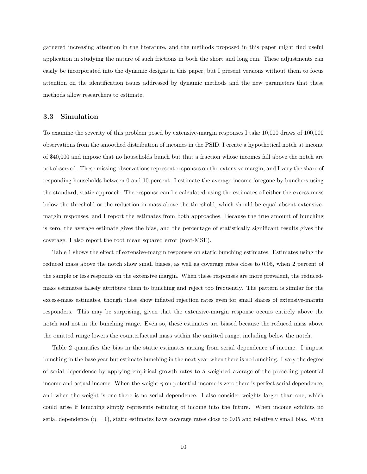garnered increasing attention in the literature, and the methods proposed in this paper might find useful application in studying the nature of such frictions in both the short and long run. These adjustments can easily be incorporated into the dynamic designs in this paper, but I present versions without them to focus attention on the identification issues addressed by dynamic methods and the new parameters that these methods allow researchers to estimate.

#### **3.3 Simulation**

To examine the severity of this problem posed by extensive-margin responses I take 10,000 draws of 100,000 observations from the smoothed distribution of incomes in the PSID. I create a hypothetical notch at income of \$40,000 and impose that no households bunch but that a fraction whose incomes fall above the notch are not observed. These missing observations represent responses on the extensive margin, and I vary the share of responding households between 0 and 10 percent. I estimate the average income foregone by bunchers using the standard, static approach. The response can be calculated using the estimates of either the excess mass below the threshold or the reduction in mass above the threshold, which should be equal absent extensivemargin responses, and I report the estimates from both approaches. Because the true amount of bunching is zero, the average estimate gives the bias, and the percentage of statistically significant results gives the coverage. I also report the root mean squared error (root-MSE).

Table 1 shows the effect of extensive-margin responses on static bunching estimates. Estimates using the reduced mass above the notch show small biases, as well as coverage rates close to 0.05, when 2 percent of the sample or less responds on the extensive margin. When these responses are more prevalent, the reducedmass estimates falsely attribute them to bunching and reject too frequently. The pattern is similar for the excess-mass estimates, though these show inflated rejection rates even for small shares of extensive-margin responders. This may be surprising, given that the extensive-margin response occurs entirely above the notch and not in the bunching range. Even so, these estimates are biased because the reduced mass above the omitted range lowers the counterfactual mass within the omitted range, including below the notch.

Table 2 quantifies the bias in the static estimates arising from serial dependence of income. I impose bunching in the base year but estimate bunching in the next year when there is no bunching. I vary the degree of serial dependence by applying empirical growth rates to a weighted average of the preceding potential income and actual income. When the weight  $\eta$  on potential income is zero there is perfect serial dependence, and when the weight is one there is no serial dependence. I also consider weights larger than one, which could arise if bunching simply represents retiming of income into the future. When income exhibits no serial dependence  $(\eta = 1)$ , static estimates have coverage rates close to 0.05 and relatively small bias. With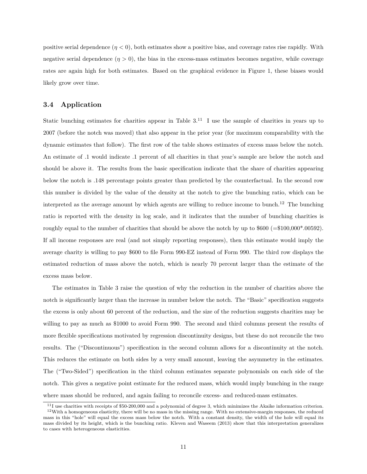positive serial dependence  $(n < 0)$ , both estimates show a positive bias, and coverage rates rise rapidly. With negative serial dependence  $(\eta > 0)$ , the bias in the excess-mass estimates becomes negative, while coverage rates are again high for both estimates. Based on the graphical evidence in Figure 1, these biases would likely grow over time.

#### **3.4 Application**

Static bunching estimates for charities appear in Table  $3<sup>11</sup>$  I use the sample of charities in years up to 2007 (before the notch was moved) that also appear in the prior year (for maximum comparability with the dynamic estimates that follow). The first row of the table shows estimates of excess mass below the notch. An estimate of .1 would indicate .1 percent of all charities in that year's sample are below the notch and should be above it. The results from the basic specification indicate that the share of charities appearing below the notch is .148 percentage points greater than predicted by the counterfactual. In the second row this number is divided by the value of the density at the notch to give the bunching ratio, which can be interpreted as the average amount by which agents are willing to reduce income to bunch.<sup>12</sup> The bunching ratio is reported with the density in log scale, and it indicates that the number of bunching charities is roughly equal to the number of charities that should be above the notch by up to  $$600 (= $100,000*.00592)$ . If all income responses are real (and not simply reporting responses), then this estimate would imply the average charity is willing to pay \$600 to file Form 990-EZ instead of Form 990. The third row displays the estimated reduction of mass above the notch, which is nearly 70 percent larger than the estimate of the excess mass below.

The estimates in Table 3 raise the question of why the reduction in the number of charities above the notch is significantly larger than the increase in number below the notch. The "Basic" specification suggests the excess is only about 60 percent of the reduction, and the size of the reduction suggests charities may be willing to pay as much as \$1000 to avoid Form 990. The second and third columns present the results of more flexible specifications motivated by regression discontinuity designs, but these do not reconcile the two results. The ("Discontinuous") specification in the second column allows for a discontinuity at the notch. This reduces the estimate on both sides by a very small amount, leaving the asymmetry in the estimates. The ("Two-Sided") specification in the third column estimates separate polynomials on each side of the notch. This gives a negative point estimate for the reduced mass, which would imply bunching in the range where mass should be reduced, and again failing to reconcile excess- and reduced-mass estimates.

 $11$  use charities with receipts of \$50-200,000 and a polynomial of degree 3, which minimizes the Akaike information criterion. <sup>12</sup>With a homogeneous elasticity, there will be no mass in the missing range. With no extensive-margin responses, the reduced mass in this "hole" will equal the excess mass below the notch. With a constant density, the width of the hole will equal its mass divided by its height, which is the bunching ratio. Kleven and Waseem (2013) show that this interpretation generalizes to cases with heterogeneous elasticities.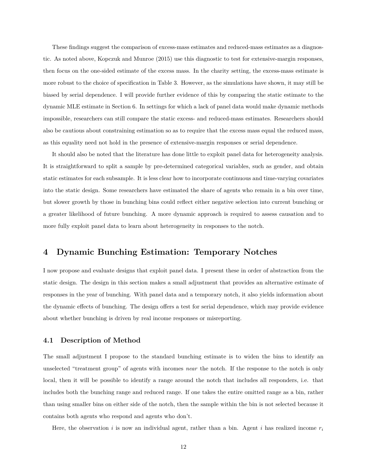These findings suggest the comparison of excess-mass estimates and reduced-mass estimates as a diagnostic. As noted above, Kopczuk and Munroe (2015) use this diagnostic to test for extensive-margin responses, then focus on the one-sided estimate of the excess mass. In the charity setting, the excess-mass estimate is more robust to the choice of specification in Table 3. However, as the simulations have shown, it may still be biased by serial dependence. I will provide further evidence of this by comparing the static estimate to the dynamic MLE estimate in Section 6. In settings for which a lack of panel data would make dynamic methods impossible, researchers can still compare the static excess- and reduced-mass estimates. Researchers should also be cautious about constraining estimation so as to require that the excess mass equal the reduced mass, as this equality need not hold in the presence of extensive-margin responses or serial dependence.

It should also be noted that the literature has done little to exploit panel data for heterogeneity analysis. It is straightforward to split a sample by pre-determined categorical variables, such as gender, and obtain static estimates for each subsample. It is less clear how to incorporate continuous and time-varying covariates into the static design. Some researchers have estimated the share of agents who remain in a bin over time, but slower growth by those in bunching bins could reflect either negative selection into current bunching or a greater likelihood of future bunching. A more dynamic approach is required to assess causation and to more fully exploit panel data to learn about heterogeneity in responses to the notch.

## **4 Dynamic Bunching Estimation: Temporary Notches**

I now propose and evaluate designs that exploit panel data. I present these in order of abstraction from the static design. The design in this section makes a small adjustment that provides an alternative estimate of responses in the year of bunching. With panel data and a temporary notch, it also yields information about the dynamic effects of bunching. The design offers a test for serial dependence, which may provide evidence about whether bunching is driven by real income responses or misreporting.

#### **4.1 Description of Method**

The small adjustment I propose to the standard bunching estimate is to widen the bins to identify an unselected "treatment group" of agents with incomes *near* the notch. If the response to the notch is only local, then it will be possible to identify a range around the notch that includes all responders, i.e. that includes both the bunching range and reduced range. If one takes the entire omitted range as a bin, rather than using smaller bins on either side of the notch, then the sample within the bin is not selected because it contains both agents who respond and agents who don't.

Here, the observation i is now an individual agent, rather than a bin. Agent i has realized income  $r_i$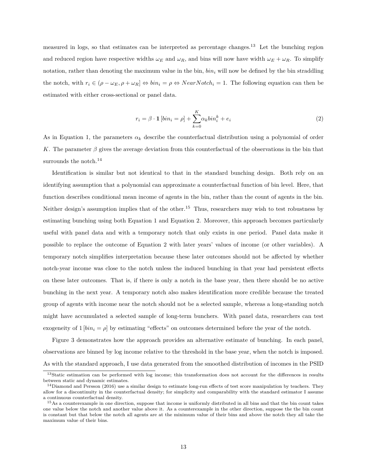measured in logs, so that estimates can be interpreted as percentage changes.<sup>13</sup> Let the bunching region and reduced region have respective widths  $\omega_E$  and  $\omega_R$ , and bins will now have width  $\omega_E + \omega_R$ . To simplify notation, rather than denoting the maximum value in the bin,  $\sin i$  will now be defined by the bin straddling the notch, with  $r_i \in (\rho - \omega_E, \rho + \omega_R] \Leftrightarrow bin_i = \rho \Leftrightarrow NearNotch_i = 1$ . The following equation can then be estimated with either cross-sectional or panel data.

$$
r_i = \beta \cdot \mathbf{1} \left[ \sin i = \rho \right] + \sum_{k=0}^{K} \alpha_k \sin^k_i + e_i \tag{2}
$$

As in Equation 1, the parameters  $\alpha_k$  describe the counterfactual distribution using a polynomial of order K. The parameter  $\beta$  gives the average deviation from this counterfactual of the observations in the bin that surrounds the notch.<sup>14</sup>

Identification is similar but not identical to that in the standard bunching design. Both rely on an identifying assumption that a polynomial can approximate a counterfactual function of bin level. Here, that function describes conditional mean income of agents in the bin, rather than the count of agents in the bin. Neither design's assumption implies that of the other.<sup>15</sup> Thus, researchers may wish to test robustness by estimating bunching using both Equation 1 and Equation 2. Moreover, this approach becomes particularly useful with panel data and with a temporary notch that only exists in one period. Panel data make it possible to replace the outcome of Equation 2 with later years' values of income (or other variables). A temporary notch simplifies interpretation because these later outcomes should not be affected by whether notch-year income was close to the notch unless the induced bunching in that year had persistent effects on these later outcomes. That is, if there is only a notch in the base year, then there should be no active bunching in the next year. A temporary notch also makes identification more credible because the treated group of agents with income near the notch should not be a selected sample, whereas a long-standing notch might have accumulated a selected sample of long-term bunchers. With panel data, researchers can test exogeneity of  $1 \left[ bin_i = \rho \right]$  by estimating "effects" on outcomes determined before the year of the notch.

Figure 3 demonstrates how the approach provides an alternative estimate of bunching. In each panel, observations are binned by log income relative to the threshold in the base year, when the notch is imposed. As with the standard approach, I use data generated from the smoothed distribution of incomes in the PSID

<sup>&</sup>lt;sup>13</sup>Static estimation can be performed with log income; this transformation does not account for the differences in results between static and dynamic estimates.

 $14$ Diamond and Persson (2016) use a similar design to estimate long-run effects of test score manipulation by teachers. They allow for a discontinuity in the counterfactual density; for simplicity and comparability with the standard estimator I assume a continuous counterfactual density.

<sup>&</sup>lt;sup>15</sup>As a counterexample in one direction, suppose that income is uniformly distributed in all bins and that the bin count takes one value below the notch and another value above it. As a counterexample in the other direction, suppose the the bin count is constant but that below the notch all agents are at the minimum value of their bins and above the notch they all take the maximum value of their bins.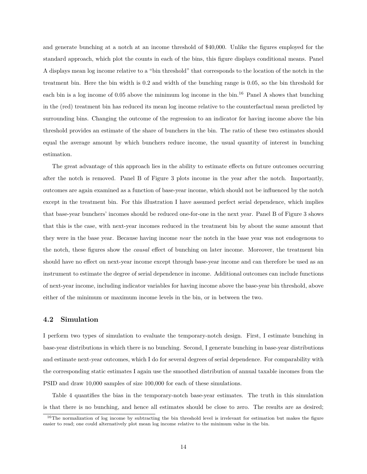and generate bunching at a notch at an income threshold of \$40,000. Unlike the figures employed for the standard approach, which plot the counts in each of the bins, this figure displays conditional means. Panel A displays mean log income relative to a "bin threshold" that corresponds to the location of the notch in the treatment bin. Here the bin width is 0.2 and width of the bunching range is 0.05, so the bin threshold for each bin is a log income of 0.05 above the minimum log income in the bin.<sup>16</sup> Panel A shows that bunching in the (red) treatment bin has reduced its mean log income relative to the counterfactual mean predicted by surrounding bins. Changing the outcome of the regression to an indicator for having income above the bin threshold provides an estimate of the share of bunchers in the bin. The ratio of these two estimates should equal the average amount by which bunchers reduce income, the usual quantity of interest in bunching estimation.

The great advantage of this approach lies in the ability to estimate effects on future outcomes occurring after the notch is removed. Panel B of Figure 3 plots income in the year after the notch. Importantly, outcomes are again examined as a function of base-year income, which should not be influenced by the notch except in the treatment bin. For this illustration I have assumed perfect serial dependence, which implies that base-year bunchers' incomes should be reduced one-for-one in the next year. Panel B of Figure 3 shows that this is the case, with next-year incomes reduced in the treatment bin by about the same amount that they were in the base year. Because having income *near* the notch in the base year was not endogenous to the notch, these figures show the *causal* effect of bunching on later income. Moreover, the treatment bin should have no effect on next-year income except through base-year income and can therefore be used as an instrument to estimate the degree of serial dependence in income. Additional outcomes can include functions of next-year income, including indicator variables for having income above the base-year bin threshold, above either of the minimum or maximum income levels in the bin, or in between the two.

#### **4.2 Simulation**

I perform two types of simulation to evaluate the temporary-notch design. First, I estimate bunching in base-year distributions in which there is no bunching. Second, I generate bunching in base-year distributions and estimate next-year outcomes, which I do for several degrees of serial dependence. For comparability with the corresponding static estimates I again use the smoothed distribution of annual taxable incomes from the PSID and draw 10,000 samples of size 100,000 for each of these simulations.

Table 4 quantifies the bias in the temporary-notch base-year estimates. The truth in this simulation is that there is no bunching, and hence all estimates should be close to zero. The results are as desired;

 $16$ The normalization of log income by subtracting the bin threshold level is irrelevant for estimation but makes the figure easier to read; one could alternatively plot mean log income relative to the minimum value in the bin.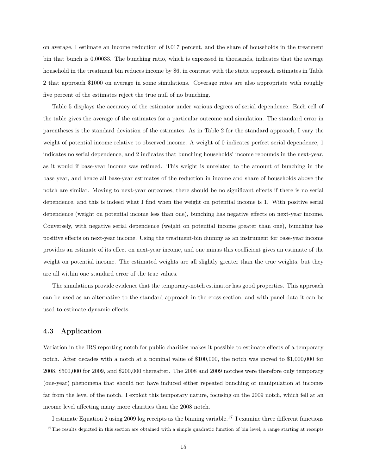on average, I estimate an income reduction of 0.017 percent, and the share of households in the treatment bin that bunch is 0.00033. The bunching ratio, which is expressed in thousands, indicates that the average household in the treatment bin reduces income by \$6, in contrast with the static approach estimates in Table 2 that approach \$1000 on average in some simulations. Coverage rates are also appropriate with roughly five percent of the estimates reject the true null of no bunching.

Table 5 displays the accuracy of the estimator under various degrees of serial dependence. Each cell of the table gives the average of the estimates for a particular outcome and simulation. The standard error in parentheses is the standard deviation of the estimates. As in Table 2 for the standard approach, I vary the weight of potential income relative to observed income. A weight of 0 indicates perfect serial dependence, 1 indicates no serial dependence, and 2 indicates that bunching households' income rebounds in the next-year, as it would if base-year income was retimed. This weight is unrelated to the amount of bunching in the base year, and hence all base-year estimates of the reduction in income and share of households above the notch are similar. Moving to next-year outcomes, there should be no significant effects if there is no serial dependence, and this is indeed what I find when the weight on potential income is 1. With positive serial dependence (weight on potential income less than one), bunching has negative effects on next-year income. Conversely, with negative serial dependence (weight on potential income greater than one), bunching has positive effects on next-year income. Using the treatment-bin dummy as an instrument for base-year income provides an estimate of its effect on next-year income, and one minus this coefficient gives an estimate of the weight on potential income. The estimated weights are all slightly greater than the true weights, but they are all within one standard error of the true values.

The simulations provide evidence that the temporary-notch estimator has good properties. This approach can be used as an alternative to the standard approach in the cross-section, and with panel data it can be used to estimate dynamic effects.

#### **4.3 Application**

Variation in the IRS reporting notch for public charities makes it possible to estimate effects of a temporary notch. After decades with a notch at a nominal value of \$100,000, the notch was moved to \$1,000,000 for 2008, \$500,000 for 2009, and \$200,000 thereafter. The 2008 and 2009 notches were therefore only temporary (one-year) phenomena that should not have induced either repeated bunching or manipulation at incomes far from the level of the notch. I exploit this temporary nature, focusing on the 2009 notch, which fell at an income level affecting many more charities than the 2008 notch.

I estimate Equation 2 using 2009 log receipts as the binning variable.<sup>17</sup> I examine three different functions

 $17$ The results depicted in this section are obtained with a simple quadratic function of bin level, a range starting at receipts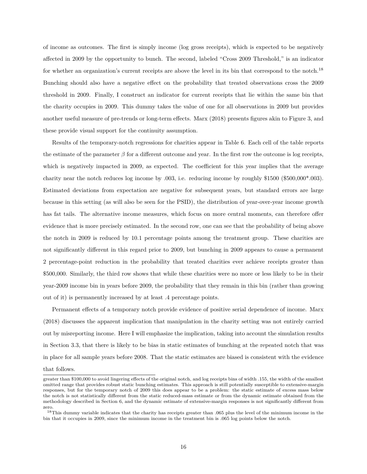of income as outcomes. The first is simply income (log gross receipts), which is expected to be negatively affected in 2009 by the opportunity to bunch. The second, labeled "Cross 2009 Threshold," is an indicator for whether an organization's current receipts are above the level in its bin that correspond to the notch.<sup>18</sup> Bunching should also have a negative effect on the probability that treated observations cross the 2009 threshold in 2009. Finally, I construct an indicator for current receipts that lie within the same bin that the charity occupies in 2009. This dummy takes the value of one for all observations in 2009 but provides another useful measure of pre-trends or long-term effects. Marx (2018) presents figures akin to Figure 3, and these provide visual support for the continuity assumption.

Results of the temporary-notch regressions for charities appear in Table 6. Each cell of the table reports the estimate of the parameter  $\beta$  for a different outcome and year. In the first row the outcome is log receipts, which is negatively impacted in 2009, as expected. The coefficient for this year implies that the average charity near the notch reduces log income by .003, i.e. reducing income by roughly \$1500 (\$500,000\*.003). Estimated deviations from expectation are negative for subsequent years, but standard errors are large because in this setting (as will also be seen for the PSID), the distribution of year-over-year income growth has fat tails. The alternative income measures, which focus on more central moments, can therefore offer evidence that is more precisely estimated. In the second row, one can see that the probability of being above the notch in 2009 is reduced by 10.1 percentage points among the treatment group. These charities are not significantly different in this regard prior to 2009, but bunching in 2009 appears to cause a permanent 2 percentage-point reduction in the probability that treated charities ever achieve receipts greater than \$500,000. Similarly, the third row shows that while these charities were no more or less likely to be in their year-2009 income bin in years before 2009, the probability that they remain in this bin (rather than growing out of it) is permanently increased by at least .4 percentage points.

Permanent effects of a temporary notch provide evidence of positive serial dependence of income. Marx (2018) discusses the apparent implication that manipulation in the charity setting was not entirely carried out by misreporting income. Here I will emphasize the implication, taking into account the simulation results in Section 3.3, that there is likely to be bias in static estimates of bunching at the repeated notch that was in place for all sample years before 2008. That the static estimates are biased is consistent with the evidence

#### that follows.

greater than \$100,000 to avoid lingering effects of the original notch, and log receipts bins of width .155, the width of the smallest omitted range that provides robust static bunching estimates. This approach is still potentially susceptible to extensive-margin responses, but for the temporary notch of 2009 this does appear to be a problem: the static estimate of excess mass below the notch is not statistically different from the static reduced-mass estimate or from the dynamic estimate obtained from the methodology described in Section 6, and the dynamic estimate of extensive-margin responses is not significantly different from zero.

<sup>&</sup>lt;sup>18</sup>This dummy variable indicates that the charity has receipts greater than .065 plus the level of the minimum income in the bin that it occupies in 2009, since the minimum income in the treatment bin is .065 log points below the notch.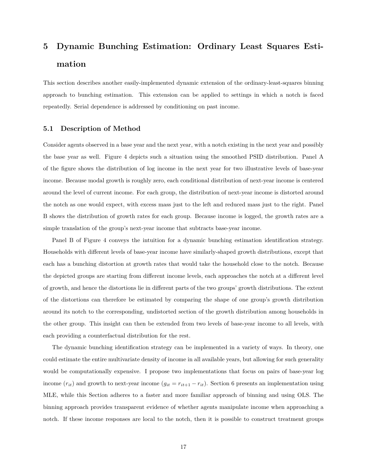## **5 Dynamic Bunching Estimation: Ordinary Least Squares Estimation**

This section describes another easily-implemented dynamic extension of the ordinary-least-squares binning approach to bunching estimation. This extension can be applied to settings in which a notch is faced repeatedly. Serial dependence is addressed by conditioning on past income.

#### **5.1 Description of Method**

Consider agents observed in a base year and the next year, with a notch existing in the next year and possibly the base year as well. Figure 4 depicts such a situation using the smoothed PSID distribution. Panel A of the figure shows the distribution of log income in the next year for two illustrative levels of base-year income. Because modal growth is roughly zero, each conditional distribution of next-year income is centered around the level of current income. For each group, the distribution of next-year income is distorted around the notch as one would expect, with excess mass just to the left and reduced mass just to the right. Panel B shows the distribution of growth rates for each group. Because income is logged, the growth rates are a simple translation of the group's next-year income that subtracts base-year income.

Panel B of Figure 4 conveys the intuition for a dynamic bunching estimation identification strategy. Households with different levels of base-year income have similarly-shaped growth distributions, except that each has a bunching distortion at growth rates that would take the household close to the notch. Because the depicted groups are starting from different income levels, each approaches the notch at a different level of growth, and hence the distortions lie in different parts of the two groups' growth distributions. The extent of the distortions can therefore be estimated by comparing the shape of one group's growth distribution around its notch to the corresponding, undistorted section of the growth distribution among households in the other group. This insight can then be extended from two levels of base-year income to all levels, with each providing a counterfactual distribution for the rest.

The dynamic bunching identification strategy can be implemented in a variety of ways. In theory, one could estimate the entire multivariate density of income in all available years, but allowing for such generality would be computationally expensive. I propose two implementations that focus on pairs of base-year log income  $(r_{it})$  and growth to next-year income  $(g_{it} = r_{it+1} - r_{it})$ . Section 6 presents an implementation using MLE, while this Section adheres to a faster and more familiar approach of binning and using OLS. The binning approach provides transparent evidence of whether agents manipulate income when approaching a notch. If these income responses are local to the notch, then it is possible to construct treatment groups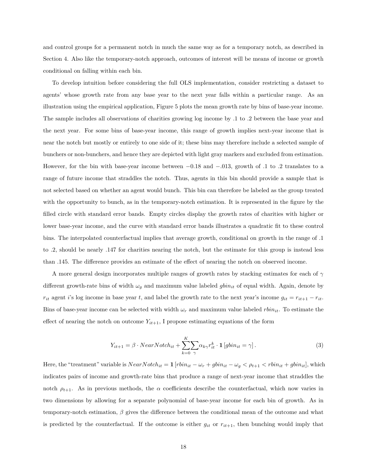and control groups for a permanent notch in much the same way as for a temporary notch, as described in Section 4. Also like the temporary-notch approach, outcomes of interest will be means of income or growth conditional on falling within each bin.

To develop intuition before considering the full OLS implementation, consider restricting a dataset to agents' whose growth rate from any base year to the next year falls within a particular range. As an illustration using the empirical application, Figure 5 plots the mean growth rate by bins of base-year income. The sample includes all observations of charities growing log income by .1 to .2 between the base year and the next year. For some bins of base-year income, this range of growth implies next-year income that is near the notch but mostly or entirely to one side of it; these bins may therefore include a selected sample of bunchers or non-bunchers, and hence they are depicted with light gray markers and excluded from estimation. However, for the bin with base-year income between −0.18 and −.013, growth of .1 to .2 translates to a range of future income that straddles the notch. Thus, agents in this bin should provide a sample that is not selected based on whether an agent would bunch. This bin can therefore be labeled as the group treated with the opportunity to bunch, as in the temporary-notch estimation. It is represented in the figure by the filled circle with standard error bands. Empty circles display the growth rates of charities with higher or lower base-year income, and the curve with standard error bands illustrates a quadratic fit to these control bins. The interpolated counterfactual implies that average growth, conditional on growth in the range of .1 to .2, should be nearly .147 for charities nearing the notch, but the estimate for this group is instead less than .145. The difference provides an estimate of the effect of nearing the notch on observed income.

A more general design incorporates multiple ranges of growth rates by stacking estimates for each of  $\gamma$ different growth-rate bins of width  $\omega_g$  and maximum value labeled  $g\dot{b}n_{it}$  of equal width. Again, denote by  $r_{it}$  agent i's log income in base year t, and label the growth rate to the next year's income  $g_{it} = r_{it+1} - r_{it}$ . Bins of base-year income can be selected with width  $\omega_r$  and maximum value labeled  $rbin_{it}$ . To estimate the effect of nearing the notch on outcome  $Y_{it+1}$ , I propose estimating equations of the form

$$
Y_{it+1} = \beta \cdot NearNotch_{it} + \sum_{k=0}^{K} \sum_{\gamma} \alpha_{k\gamma} r_{it}^k \cdot \mathbf{1} \left[ gbin_{it} = \gamma \right]. \tag{3}
$$

Here, the "treatment" variable is  $NearNotch_{it} = 1$  [ $rbin_{it} - \omega_r + gbin_{it} - \omega_g < \rho_{t+1} < rbin_{it} + gbin_{it}$ ], which indicates pairs of income and growth-rate bins that produce a range of next-year income that straddles the notch  $\rho_{t+1}$ . As in previous methods, the  $\alpha$  coefficients describe the counterfactual, which now varies in two dimensions by allowing for a separate polynomial of base-year income for each bin of growth. As in temporary-notch estimation,  $\beta$  gives the difference between the conditional mean of the outcome and what is predicted by the counterfactual. If the outcome is either  $g_{it}$  or  $r_{it+1}$ , then bunching would imply that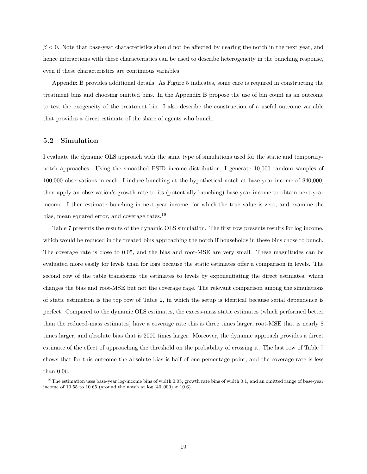$\beta$  < 0. Note that base-year characteristics should not be affected by nearing the notch in the next year, and hence interactions with these characteristics can be used to describe heterogeneity in the bunching response, even if these characteristics are continuous variables.

Appendix B provides additional details. As Figure 5 indicates, some care is required in constructing the treatment bins and choosing omitted bins. In the Appendix B propose the use of bin count as an outcome to test the exogeneity of the treatment bin. I also describe the construction of a useful outcome variable that provides a direct estimate of the share of agents who bunch.

#### **5.2 Simulation**

I evaluate the dynamic OLS approach with the same type of simulations used for the static and temporarynotch approaches. Using the smoothed PSID income distribution, I generate 10,000 random samples of 100,000 observations in each. I induce bunching at the hypothetical notch at base-year income of \$40,000, then apply an observation's growth rate to its (potentially bunching) base-year income to obtain next-year income. I then estimate bunching in next-year income, for which the true value is zero, and examine the bias, mean squared error, and coverage rates.<sup>19</sup>

Table 7 presents the results of the dynamic OLS simulation. The first row presents results for log income, which would be reduced in the treated bins approaching the notch if households in these bins chose to bunch. The coverage rate is close to 0.05, and the bias and root-MSE are very small. These magnitudes can be evaluated more easily for levels than for logs because the static estimates offer a comparison in levels. The second row of the table transforms the estimates to levels by exponentiating the direct estimates, which changes the bias and root-MSE but not the coverage rage. The relevant comparison among the simulations of static estimation is the top row of Table 2, in which the setup is identical because serial dependence is perfect. Compared to the dynamic OLS estimates, the excess-mass static estimates (which performed better than the reduced-mass estimates) have a coverage rate this is three times larger, root-MSE that is nearly 8 times larger, and absolute bias that is 2000 times larger. Moreover, the dynamic approach provides a direct estimate of the effect of approaching the threshold on the probability of crossing it. The last row of Table 7 shows that for this outcome the absolute bias is half of one percentage point, and the coverage rate is less

than 0.06.

<sup>&</sup>lt;sup>19</sup>The estimation uses base-year log-income bins of width 0.05, growth rate bins of width 0.1, and an omitted range of base-year income of 10.55 to 10.65 (around the notch at  $log(40,000) \approx 10.6$ ).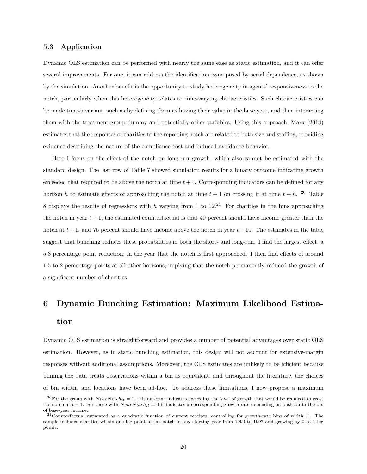#### **5.3 Application**

Dynamic OLS estimation can be performed with nearly the same ease as static estimation, and it can offer several improvements. For one, it can address the identification issue posed by serial dependence, as shown by the simulation. Another benefit is the opportunity to study heterogeneity in agents' responsiveness to the notch, particularly when this heterogeneity relates to time-varying characteristics. Such characteristics can be made time-invariant, such as by defining them as having their value in the base year, and then interacting them with the treatment-group dummy and potentially other variables. Using this approach, Marx (2018) estimates that the responses of charities to the reporting notch are related to both size and staffing, providing evidence describing the nature of the compliance cost and induced avoidance behavior.

Here I focus on the effect of the notch on long-run growth, which also cannot be estimated with the standard design. The last row of Table 7 showed simulation results for a binary outcome indicating growth exceeded that required to be above the notch at time  $t + 1$ . Corresponding indicators can be defined for any horizon h to estimate effects of approaching the notch at time  $t + 1$  on crossing it at time  $t + h$ . <sup>20</sup> Table 8 displays the results of regressions with h varying from 1 to  $12^{21}$  For charities in the bins approaching the notch in year  $t + 1$ , the estimated counterfactual is that 40 percent should have income greater than the notch at  $t + 1$ , and 75 percent should have income above the notch in year  $t + 10$ . The estimates in the table suggest that bunching reduces these probabilities in both the short- and long-run. I find the largest effect, a 5.3 percentage point reduction, in the year that the notch is first approached. I then find effects of around 1.5 to 2 percentage points at all other horizons, implying that the notch permanently reduced the growth of a significant number of charities.

## **6 Dynamic Bunching Estimation: Maximum Likelihood Estimation**

Dynamic OLS estimation is straightforward and provides a number of potential advantages over static OLS estimation. However, as in static bunching estimation, this design will not account for extensive-margin responses without additional assumptions. Moreover, the OLS estimates are unlikely to be efficient because binning the data treats observations within a bin as equivalent, and throughout the literature, the choices of bin widths and locations have been ad-hoc. To address these limitations, I now propose a maximum

<sup>&</sup>lt;sup>20</sup>For the group with  $NearNotch_{it} = 1$ , this outcome indicates exceeding the level of growth that would be required to cross the notch at  $t + 1$ . For those with  $NearNotch_{it} = 0$  it indicates a corresponding growth rate depending on position in the bin of base-year income.

 $^{21}$ Counterfactual estimated as a quadratic function of current receipts, controlling for growth-rate bins of width .1. The sample includes charities within one log point of the notch in any starting year from 1990 to 1997 and growing by 0 to 1 log points.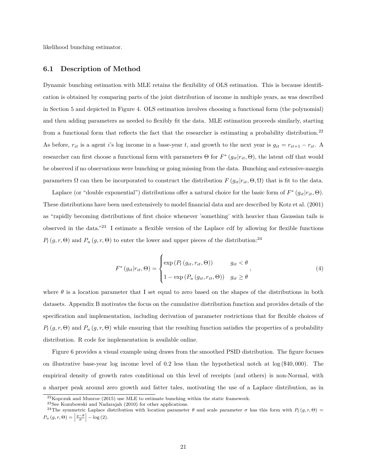likelihood bunching estimator.

#### **6.1 Description of Method**

Dynamic bunching estimation with MLE retains the flexibility of OLS estimation. This is because identification is obtained by comparing parts of the joint distribution of income in multiple years, as was described in Section 5 and depicted in Figure 4. OLS estimation involves choosing a functional form (the polynomial) and then adding parameters as needed to flexibly fit the data. MLE estimation proceeds similarly, starting from a functional form that reflects the fact that the researcher is estimating a probability distribution.<sup>22</sup> As before,  $r_{it}$  is a agent i's log income in a base-year t, and growth to the next year is  $g_{it} = r_{it+1} - r_{it}$ . A researcher can first choose a functional form with parameters  $\Theta$  for  $F^*(g_{it}|r_{it},\Theta)$ , the latent cdf that would be observed if no observations were bunching or going missing from the data. Bunching and extensive-margin parameters  $\Omega$  can then be incorporated to construct the distribution  $F(g_{it}|r_{it}, \Theta, \Omega)$  that is fit to the data.

Laplace (or "double exponential") distributions offer a natural choice for the basic form of  $F^*(g_{it}|r_{it},\Theta)$ . These distributions have been used extensively to model financial data and are described by Kotz et al. (2001) as "rapidly becoming distributions of first choice whenever 'something' with heavier than Gaussian tails is observed in the data."<sup>23</sup> I estimate a flexible version of the Laplace cdf by allowing for flexible functions  $P_l(g, r, \Theta)$  and  $P_u(g, r, \Theta)$  to enter the lower and upper pieces of the distribution:<sup>24</sup>

$$
F^*(g_{it}|r_{it},\Theta) = \begin{cases} \exp(P_l(g_{it},r_{it},\Theta)) & g_{it} < \theta \\ 1 - \exp(P_u(g_{it},r_{it},\Theta)) & g_{it} \ge \theta \end{cases},
$$
\n(4)

where  $\theta$  is a location parameter that I set equal to zero based on the shapes of the distributions in both datasets. Appendix B motivates the focus on the cumulative distribution function and provides details of the specification and implementation, including derivation of parameter restrictions that for flexible choices of  $P_l(g, r, \Theta)$  and  $P_u(g, r, \Theta)$  while ensuring that the resulting function satisfies the properties of a probability distribution. R code for implementation is available online.

Figure 6 provides a visual example using draws from the smoothed PSID distribution. The figure focuses on illustrative base-year log income level of 0.2 less than the hypothetical notch at log (\$40, 000). The empirical density of growth rates conditional on this level of receipts (and others) is non-Normal, with a sharper peak around zero growth and fatter tales, motivating the use of a Laplace distribution, as in

 $^{22}$ Kopczuk and Munroe (2015) use MLE to estimate bunching within the static framework.

<sup>23</sup>See Kozubowski and Nadarajah (2010) for other applications.

<sup>&</sup>lt;sup>24</sup>The symmetric Laplace distribution with location parameter  $\theta$  and scale parameter  $\sigma$  has this form with  $P_l(g, r, \Theta)$  =  $P_u(g,r,\Theta)=\Big|$  $\frac{g-\theta}{\sigma}\Big|-\log(2).$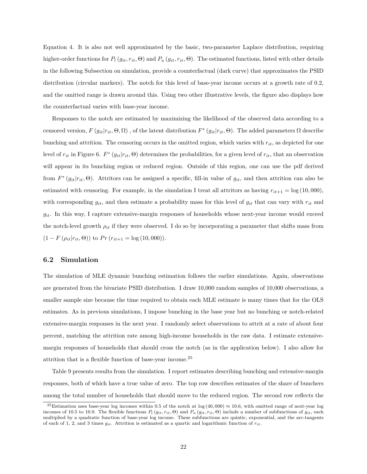Equation 4. It is also not well approximated by the basic, two-parameter Laplace distribution, requiring higher-order functions for  $P_l(g_{it}, r_{it}, \Theta)$  and  $P_u(g_{it}, r_{it}, \Theta)$ . The estimated functions, listed with other details in the following Subsection on simulation, provide a counterfactual (dark curve) that approximates the PSID distribution (circular markers). The notch for this level of base-year income occurs at a growth rate of 0.2, and the omitted range is drawn around this. Using two other illustrative levels, the figure also displays how the counterfactual varies with base-year income.

Responses to the notch are estimated by maximizing the likelihood of the observed data according to a censored version,  $F(g_{it}|r_{it},\Theta,\Omega)$ , of the latent distribution  $F^*(g_{it}|r_{it},\Theta)$ . The added parameters  $\Omega$  describe bunching and attrition. The censoring occurs in the omitted region, which varies with  $r_{it}$ , as depicted for one level of  $r_{it}$  in Figure 6.  $F^*(g_{it}|r_{it}, \Theta)$  determines the probabilities, for a given level of  $r_{it}$ , that an observation will appear in its bunching region or reduced region. Outside of this region, one can use the pdf derived from  $F^*(g_{it}|r_{it},\Theta)$ . Attritors can be assigned a specific, fill-in value of  $g_{it}$ , and then attrition can also be estimated with censoring. For example, in the simulation I treat all attritors as having  $r_{it+1} = \log(10,000)$ , with corresponding  $g_{it}$ , and then estimate a probability mass for this level of  $g_{it}$  that can vary with  $r_{it}$  and  $g_{it}$ . In this way, I capture extensive-margin responses of households whose next-year income would exceed the notch-level growth  $\rho_{it}$  if they were observed. I do so by incorporating a parameter that shifts mass from  $(1 - F(\rho_{it}|r_{it}, \Theta))$  to  $Pr(r_{it+1} = \log(10, 000)).$ 

#### **6.2 Simulation**

The simulation of MLE dynamic bunching estimation follows the earlier simulations. Again, observations are generated from the bivariate PSID distribution. I draw 10,000 random samples of 10,000 observations, a smaller sample size because the time required to obtain each MLE estimate is many times that for the OLS estimates. As in previous simulations, I impose bunching in the base year but no bunching or notch-related extensive-margin responses in the next year. I randomly select observations to attrit at a rate of about four percent, matching the attrition rate among high-income households in the raw data. I estimate extensivemargin responses of households that should cross the notch (as in the application below). I also allow for attrition that is a flexible function of base-year income.<sup>25</sup>

Table 9 presents results from the simulation. I report estimates describing bunching and extensive-margin responses, both of which have a true value of zero. The top row describes estimates of the share of bunchers among the total number of households that should move to the reduced region. The second row reflects the

<sup>&</sup>lt;sup>25</sup>Estimation uses base-year log incomes within 0.5 of the notch at  $log(40,000) \approx 10.6$ , with omitted range of next-year log incomes of 10.5 to 10.9. The flexible functions  $P_l(g_{it}, r_{it}, \Theta)$  and  $P_u(g_{it}, r_{it}, \Theta)$  include a number of subfunctions of  $g_{it}$ , each multiplied by a quadratic function of base-year log income. These subfunctions are quintic, exponential, and the arc-tangents of each of 1, 2, and 3 times  $g_{it}$ . Attrition is estimated as a quartic and logarithmic function of  $r_{it}$ .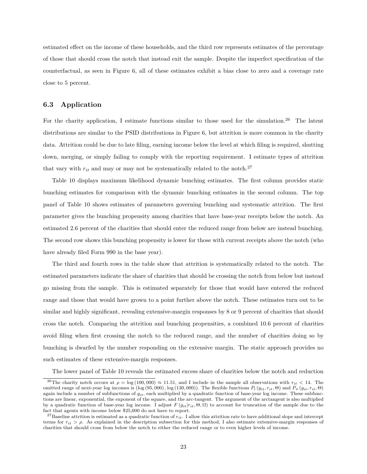estimated effect on the income of these households, and the third row represents estimates of the percentage of those that should cross the notch that instead exit the sample. Despite the imperfect specification of the counterfactual, as seen in Figure 6, all of these estimates exhibit a bias close to zero and a coverage rate close to 5 percent.

#### **6.3 Application**

For the charity application, I estimate functions similar to those used for the simulation.<sup>26</sup> The latent distributions are similar to the PSID distributions in Figure 6, but attrition is more common in the charity data. Attrition could be due to late filing, earning income below the level at which filing is required, shutting down, merging, or simply failing to comply with the reporting requirement. I estimate types of attrition that vary with  $r_{it}$  and may or may not be systematically related to the notch.<sup>27</sup>

Table 10 displays maximum likelihood dynamic bunching estimates. The first column provides static bunching estimates for comparison with the dynamic bunching estimates in the second column. The top panel of Table 10 shows estimates of parameters governing bunching and systematic attrition. The first parameter gives the bunching propensity among charities that have base-year receipts below the notch. An estimated 2.6 percent of the charities that should enter the reduced range from below are instead bunching. The second row shows this bunching propensity is lower for those with current receipts above the notch (who have already filed Form 990 in the base year).

The third and fourth rows in the table show that attrition is systematically related to the notch. The estimated parameters indicate the share of charities that should be crossing the notch from below but instead go missing from the sample. This is estimated separately for those that would have entered the reduced range and those that would have grown to a point further above the notch. These estimates turn out to be similar and highly significant, revealing extensive-margin responses by 8 or 9 percent of charities that should cross the notch. Comparing the attrition and bunching propensities, a combined 10.6 percent of charities avoid filing when first crossing the notch to the reduced range, and the number of charities doing so by bunching is dwarfed by the number responding on the extensive margin. The static approach provides no such estimates of these extensive-margin responses.

The lower panel of Table 10 reveals the estimated excess share of charities below the notch and reduction

<sup>&</sup>lt;sup>26</sup>The charity notch occurs at  $\rho = \log(100, 000) \approx 11.51$ , and I include in the sample all observations with  $r_{it} < 14$ . The omitted range of next-year log incomes is  $(\log (95, 000), \log (130, 000))$ . The flexible functions  $P_l(g_{it}, r_{it}, \Theta)$  and  $P_u(g_{it}, r_{it}, \Theta)$ again include a number of subfunctions of  $g_{it}$ , each multiplied by a quadratic function of base-year log income. These subfunctions are linear, exponential, the exponent of the square, and the arc-tangent. The argument of the arctangent is also multiplied by a quadratic function of base-year log income. I adjust  $F(g_{it}|r_{it}, \Theta, \Omega)$  to account for truncation of the sample due to the fact that agents with income below \$25,000 do not have to report.

<sup>&</sup>lt;sup>27</sup>Baseline attrition is estimated as a quadratic function of  $r_{it}$ . I allow this attrition rate to have additional slope and intercept terms for  $r_{it} > \rho$ . As explained in the description subsection for this method, I also estimate extensive-margin responses of charities that should cross from below the notch to either the reduced range or to even higher levels of income.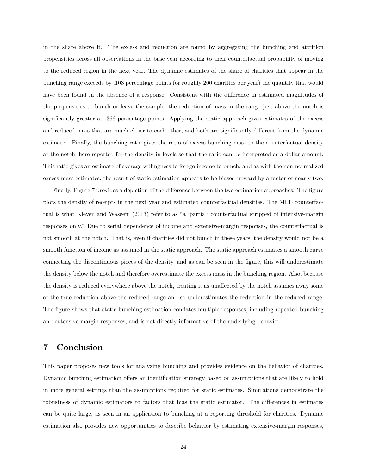in the share above it. The excess and reduction are found by aggregating the bunching and attrition propensities across all observations in the base year according to their counterfactual probability of moving to the reduced region in the next year. The dynamic estimates of the share of charities that appear in the bunching range exceeds by .103 percentage points (or roughly 200 charities per year) the quantity that would have been found in the absence of a response. Consistent with the difference in estimated magnitudes of the propensities to bunch or leave the sample, the reduction of mass in the range just above the notch is significantly greater at .366 percentage points. Applying the static approach gives estimates of the excess and reduced mass that are much closer to each other, and both are significantly different from the dynamic estimates. Finally, the bunching ratio gives the ratio of excess bunching mass to the counterfactual density at the notch, here reported for the density in levels so that the ratio can be interpreted as a dollar amount. This ratio gives an estimate of average willingness to forego income to bunch, and as with the non-normalized excess-mass estimates, the result of static estimation appears to be biased upward by a factor of nearly two.

Finally, Figure 7 provides a depiction of the difference between the two estimation approaches. The figure plots the density of receipts in the next year and estimated counterfactual densities. The MLE counterfactual is what Kleven and Waseem (2013) refer to as "a 'partial' counterfactual stripped of intensive-margin responses only." Due to serial dependence of income and extensive-margin responses, the counterfactual is not smooth at the notch. That is, even if charities did not bunch in these years, the density would not be a smooth function of income as assumed in the static approach. The static approach estimates a smooth curve connecting the discontinuous pieces of the density, and as can be seen in the figure, this will underestimate the density below the notch and therefore overestimate the excess mass in the bunching region. Also, because the density is reduced everywhere above the notch, treating it as unaffected by the notch assumes away some of the true reduction above the reduced range and so underestimates the reduction in the reduced range. The figure shows that static bunching estimation conflates multiple responses, including repeated bunching and extensive-margin responses, and is not directly informative of the underlying behavior.

## **7 Conclusion**

This paper proposes new tools for analyzing bunching and provides evidence on the behavior of charities. Dynamic bunching estimation offers an identification strategy based on assumptions that are likely to hold in more general settings than the assumptions required for static estimates. Simulations demonstrate the robustness of dynamic estimators to factors that bias the static estimator. The differences in estimates can be quite large, as seen in an application to bunching at a reporting threshold for charities. Dynamic estimation also provides new opportunities to describe behavior by estimating extensive-margin responses,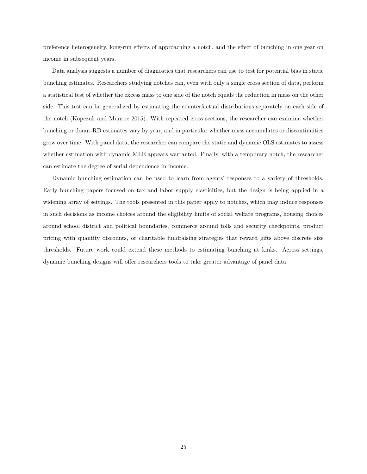preference heterogeneity, long-run effects of approaching a notch, and the effect of bunching in one year on income in subsequent years.

Data analysis suggests a number of diagnostics that researchers can use to test for potential bias in static bunching estimates. Researchers studying notches can, even with only a single cross section of data, perform a statistical test of whether the excess mass to one side of the notch equals the reduction in mass on the other side. This test can be generalized by estimating the counterfactual distributions separately on each side of the notch (Kopczuk and Munroe 2015). With repeated cross sections, the researcher can examine whether bunching or donut-RD estimates vary by year, and in particular whether mass accumulates or discontinuities grow over time. With panel data, the researcher can compare the static and dynamic OLS estimates to assess whether estimation with dynamic MLE appears warranted. Finally, with a temporary notch, the researcher can estimate the degree of serial dependence in income.

Dynamic bunching estimation can be used to learn from agents' responses to a variety of thresholds. Early bunching papers focused on tax and labor supply elasticities, but the design is being applied in a widening array of settings. The tools presented in this paper apply to notches, which may induce responses in such decisions as income choices around the eligibility limits of social welfare programs, housing choices around school district and political boundaries, commerce around tolls and security checkpoints, product pricing with quantity discounts, or charitable fundraising strategies that reward gifts above discrete size thresholds. Future work could extend these methods to estimating bunching at kinks. Across settings, dynamic bunching designs will offer researchers tools to take greater advantage of panel data.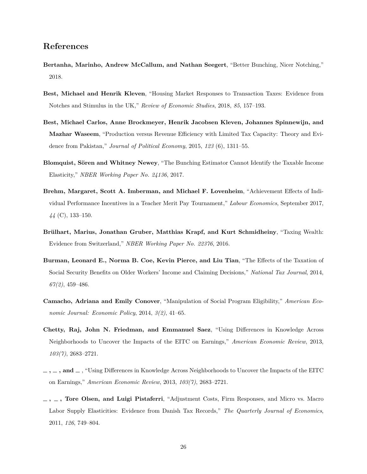## **References**

- **Bertanha, Marinho, Andrew McCallum, and Nathan Seegert**, "Better Bunching, Nicer Notching," 2018.
- **Best, Michael and Henrik Kleven**, "Housing Market Responses to Transaction Taxes: Evidence from Notches and Stimulus in the UK," *Review of Economic Studies*, 2018, *85*, 157–193.
- **Best, Michael Carlos, Anne Brockmeyer, Henrik Jacobsen Kleven, Johannes Spinnewijn, and Mazhar Waseem**, "Production versus Revenue Efficiency with Limited Tax Capacity: Theory and Evidence from Pakistan," *Journal of Political Economy*, 2015, *123* (6), 1311–55.
- **Blomquist, Sören and Whitney Newey**, "The Bunching Estimator Cannot Identify the Taxable Income Elasticity," *NBER Working Paper No. 24136*, 2017.
- **Brehm, Margaret, Scott A. Imberman, and Michael F. Lovenheim**, "Achievement Effects of Individual Performance Incentives in a Teacher Merit Pay Tournament," *Labour Economics*, September 2017, *44* (C), 133–150.
- **Brülhart, Marius, Jonathan Gruber, Matthias Krapf, and Kurt Schmidheiny**, "Taxing Wealth: Evidence from Switzerland," *NBER Working Paper No. 22376*, 2016.
- **Burman, Leonard E., Norma B. Coe, Kevin Pierce, and Liu Tian**, "The Effects of the Taxation of Social Security Benefits on Older Workers' Income and Claiming Decisions," *National Tax Journal*, 2014, *67(2)*, 459–486.
- **Camacho, Adriana and Emily Conover**, "Manipulation of Social Program Eligibility," *American Economic Journal: Economic Policy*, 2014, *3(2)*, 41–65.
- **Chetty, Raj, John N. Friedman, and Emmanuel Saez**, "Using Differences in Knowledge Across Neighborhoods to Uncover the Impacts of the EITC on Earnings," *American Economic Review*, 2013, *103(7)*, 2683–2721.
- **, , and** , "Using Differences in Knowledge Across Neighborhoods to Uncover the Impacts of the EITC on Earnings," *American Economic Review*, 2013, *103(7)*, 2683–2721.
- **, , Tore Olsen, and Luigi Pistaferri**, "Adjustment Costs, Firm Responses, and Micro vs. Macro Labor Supply Elasticities: Evidence from Danish Tax Records," *The Quarterly Journal of Economics*, 2011, *126*, 749–804.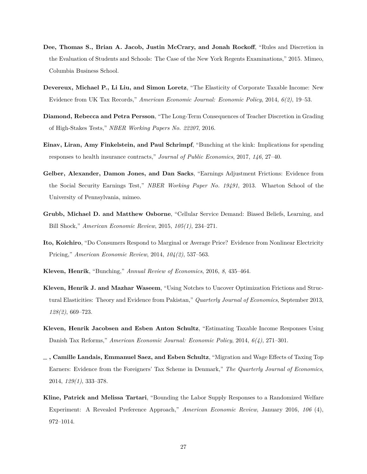- **Dee, Thomas S., Brian A. Jacob, Justin McCrary, and Jonah Rockoff**, "Rules and Discretion in the Evaluation of Students and Schools: The Case of the New York Regents Examinations," 2015. Mimeo, Columbia Business School.
- **Devereux, Michael P., Li Liu, and Simon Loretz**, "The Elasticity of Corporate Taxable Income: New Evidence from UK Tax Records," *American Economic Journal: Economic Policy*, 2014, *6(2)*, 19–53.
- **Diamond, Rebecca and Petra Persson**, "The Long-Term Consequences of Teacher Discretion in Grading of High-Stakes Tests," *NBER Working Papers No. 22207*, 2016.
- **Einav, Liran, Amy Finkelstein, and Paul Schrimpf**, "Bunching at the kink: Implications for spending responses to health insurance contracts," *Journal of Public Economics*, 2017, *146*, 27–40.
- **Gelber, Alexander, Damon Jones, and Dan Sacks**, "Earnings Adjustment Frictions: Evidence from the Social Security Earnings Test," *NBER Working Paper No. 19491*, 2013. Wharton School of the University of Pennsylvania, mimeo.
- **Grubb, Michael D. and Matthew Osborne**, "Cellular Service Demand: Biased Beliefs, Learning, and Bill Shock," *American Economic Review*, 2015, *105(1)*, 234–271.
- **Ito, Koichiro**, "Do Consumers Respond to Marginal or Average Price? Evidence from Nonlinear Electricity Pricing," *American Economic Review*, 2014, *104(2)*, 537–563.
- **Kleven, Henrik**, "Bunching," *Annual Review of Economics*, 2016, *8*, 435–464.
- **Kleven, Henrik J. and Mazhar Waseem**, "Using Notches to Uncover Optimization Frictions and Structural Elasticities: Theory and Evidence from Pakistan," *Quarterly Journal of Economics*, September 2013, *128(2)*, 669–723.
- **Kleven, Henrik Jacobsen and Esben Anton Schultz**, "Estimating Taxable Income Responses Using Danish Tax Reforms," *American Economic Journal: Economic Policy*, 2014, *6(4)*, 271–301.
- **, Camille Landais, Emmanuel Saez, and Esben Schultz**, "Migration and Wage Effects of Taxing Top Earners: Evidence from the Foreigners' Tax Scheme in Denmark," *The Quarterly Journal of Economics*, 2014, *129(1)*, 333–378.
- **Kline, Patrick and Melissa Tartari**, "Bounding the Labor Supply Responses to a Randomized Welfare Experiment: A Revealed Preference Approach," *American Economic Review*, January 2016, *106* (4), 972–1014.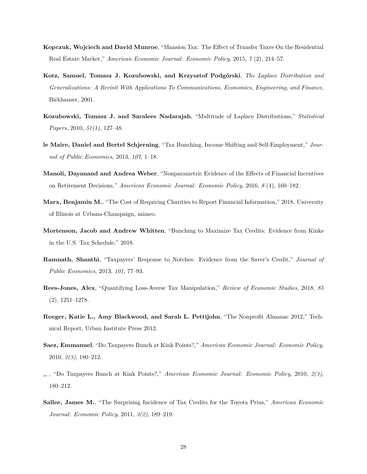- **Kopczuk, Wojciech and David Munroe**, "Mansion Tax: The Effect of Transfer Taxes On the Residential Real Estate Market," *American Economic Journal: Economic Policy*, 2015, *7* (2), 214–57.
- **Kotz, Samuel, Tomasz J. Kozubowski, and Krzysztof Podgórski**, *The Laplace Distribution and Generalizations: A Revisit With Applications To Communications, Economics, Engineering, and Finance*, Birkhauser, 2001.
- **Kozubowski, Tomasz J. and Saralees Nadarajah**, "Multitude of Laplace Distributions," *Statistical Papers*, 2010, *51(1)*, 127–48.
- **le Maire, Daniel and Bertel Schjerning**, "Tax Bunching, Income Shifting and Self-Employment," *Journal of Public Economics*, 2013, *107*, 1–18.
- **Manoli, Dayanand and Andrea Weber**, "Nonparametric Evidence of the Effects of Financial Incentives on Retirement Decisions," *American Economic Journal: Economic Policy*, 2016, *8* (4), 160–182.
- **Marx, Benjamin M.**, "The Cost of Requiring Charities to Report Financial Information," 2018. University of Illinois at Urbana-Champaign, mimeo.
- **Mortenson, Jacob and Andrew Whitten**, "Bunching to Maximize Tax Credits: Evidence from Kinks in the U.S. Tax Schedule," 2018.
- **Ramnath, Shanthi**, "Taxpayers' Response to Notches: Evidence from the Saver's Credit," *Journal of Public Economics*, 2013, *101*, 77–93.
- **Rees-Jones, Alex**, "Quantifying Loss-Averse Tax Manipulation," *Review of Economic Studies*, 2018, *85* (2), 1251–1278.
- **Roeger, Katie L., Amy Blackwood, and Sarah L. Pettijohn**, "The Nonprofit Almanac 2012," Technical Report, Urban Institute Press 2012.
- **Saez, Emmanuel**, "Do Taxpayers Bunch at Kink Points?," *American Economic Journal: Economic Policy*, 2010, *2(3)*, 180–212.
- , "Do Taxpayers Bunch at Kink Points?," *American Economic Journal: Economic Policy*, 2010, *2(3)*, 180–212.
- **Sallee, James M.**, "The Surprising Incidence of Tax Credits for the Toyota Prius," *American Economic Journal: Economic Policy*, 2011, *3(2)*, 189–219.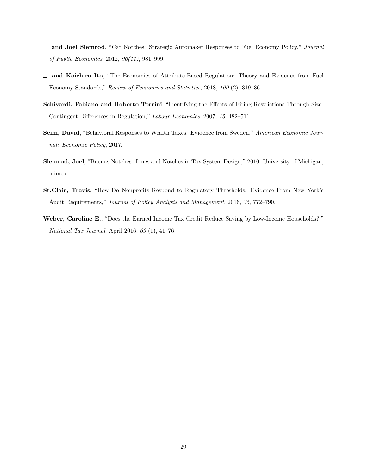- **and Joel Slemrod**, "Car Notches: Strategic Automaker Responses to Fuel Economy Policy," *Journal of Public Economics*, 2012, *96(11)*, 981–999.
- **and Koichiro Ito**, "The Economics of Attribute-Based Regulation: Theory and Evidence from Fuel Economy Standards," *Review of Economics and Statistics*, 2018, *100* (2), 319–36.
- **Schivardi, Fabiano and Roberto Torrini**, "Identifying the Effects of Firing Restrictions Through Size-Contingent Differences in Regulation," *Labour Economics*, 2007, *15*, 482–511.
- **Seim, David**, "Behavioral Responses to Wealth Taxes: Evidence from Sweden," *American Economic Journal: Economic Policy*, 2017.
- **Slemrod, Joel**, "Buenas Notches: Lines and Notches in Tax System Design," 2010. University of Michigan, mimeo.
- **St.Clair, Travis**, "How Do Nonprofits Respond to Regulatory Thresholds: Evidence From New York's Audit Requirements," *Journal of Policy Analysis and Management*, 2016, *35*, 772–790.
- **Weber, Caroline E.**, "Does the Earned Income Tax Credit Reduce Saving by Low-Income Households?," *National Tax Journal*, April 2016, *69* (1), 41–76.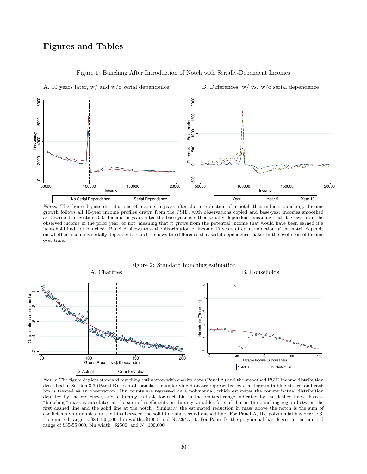## **Figures and Tables**



Figure 1: Bunching After Introduction of Notch with Serially-Dependent Incomes

A. 10 years later, w/ and w/o serial dependence

B. Differences, w/ vs. w/o serial dependence

*Notes*: The figure depicts distributions of income in years after the introduction of a notch that induces bunching. Income growth follows all 10-year income profiles drawn from the PSID, with observations copied and base-year incomes smoothed as described in Section 3.3. Income in years after the base year is either serially dependent, meaning that it grows from the observed income in the prior year, or not, meaning that it grows from the potential income that would have been earned if a household had not bunched. Panel A shows that the distribution of income 10 years after introduction of the notch depends on whether income is serially dependent. Panel B shows the difference that serial dependence makes in the evolution of income over time.



*Notes*: The figure depicts standard bunching estimation with charity data (Panel A) and the smoothed PSID income distribution described in Section 3.3 (Panel B). In both panels, the underlying data are represented by a histogram in blue circles, and each bin is treated as an observation. Bin counts are regressed on a polynomial, which estimates the counterfactual distribution depicted by the red curve, and a dummy variable for each bin in the omitted range indicated by the dashed lines. Excess "bunching" mass is calculated as the sum of coefficients on dummy variables for each bin in the bunching region between the first dashed line and the solid line at the notch. Similarly, the estimated reduction in mass above the notch is the sum of coefficients on dummies for the bins between the solid line and second dashed line. For Panel A, the polynomial has degree 3, the omitted range is \$80-130,000, bin width=\$1000, and N=264,770. For Panel B, the polynomial has degree 5, the omitted range of \$35-55,000, bin width=\$2500, and N=100,000.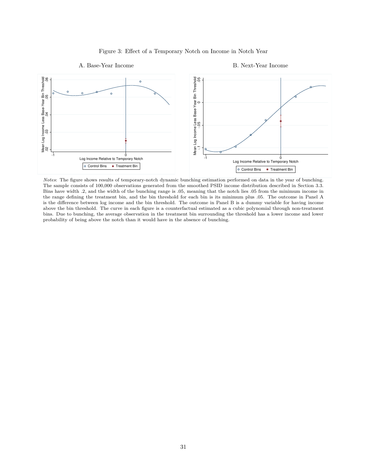

#### Figure 3: Effect of a Temporary Notch on Income in Notch Year

*Notes*: The figure shows results of temporary-notch dynamic bunching estimation performed on data in the year of bunching. The sample consists of 100,000 observations generated from the smoothed PSID income distribution described in Section 3.3. Bins have width .2, and the width of the bunching range is .05, meaning that the notch lies .05 from the minimum income in the range defining the treatment bin, and the bin threshold for each bin is its minimum plus .05. The outcome in Panel A is the difference between log income and the bin threshold. The outcome in Panel B is a dummy variable for having income above the bin threshold. The curve in each figure is a counterfactual estimated as a cubic polynomial through non-treatment bins. Due to bunching, the average observation in the treatment bin surrounding the threshold has a lower income and lower probability of being above the notch than it would have in the absence of bunching.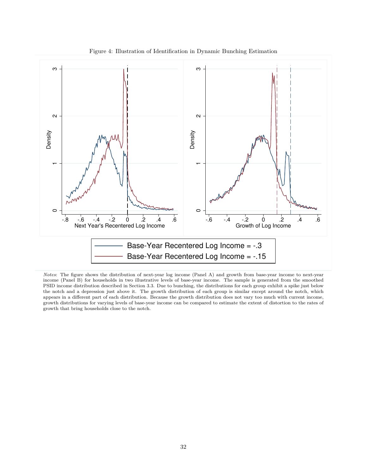

Figure 4: Illustration of Identification in Dynamic Bunching Estimation

*Notes*: The figure shows the distribution of next-year log income (Panel A) and growth from base-year income to next-year income (Panel B) for households in two illustrative levels of base-year income. The sample is generated from the smoothed PSID income distribution described in Section 3.3. Due to bunching, the distributions for each group exhibit a spike just below the notch and a depression just above it. The growth distribution of each group is similar except around the notch, which appears in a different part of each distribution. Because the growth distribution does not vary too much with current income, growth distributions for varying levels of base-year income can be compared to estimate the extent of distortion to the rates of growth that bring households close to the notch.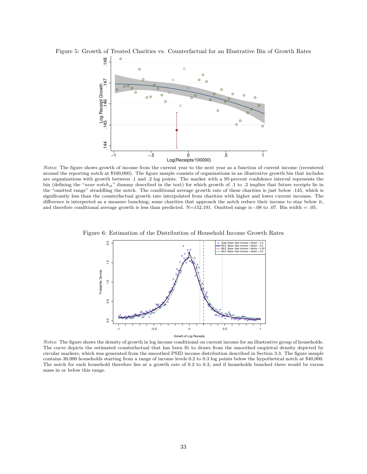

Figure 5: Growth of Treated Charities vs. Counterfactual for an Illustrative Bin of Growth Rates

Notes: The figure shows growth of income from the current year to the next year as a function of current income (recentered around the reporting notch at \$100,000). The figure sample consists of organizations in an illustrative growth bin that includes are organizations with growth between .1 and .2 log points. The marker with a 95-percent confidence interval represents the bin (defining the "near notch<sub>it</sub>" dummy described in the text) for which growth of .1 to .2 implies that future receipts lie in the "omitted range" straddling the notch. The conditional average growth rate of these charities is just below .145, which is significantly less than the counterfactual growth rate interpolated from charities with higher and lower current incomes. The difference is interpreted as a measure bunching; some charities that approach the notch reduce their income to stay below it, and therefore conditional average growth is less than predicted. N=152,191. Omitted range is -.08 to .07. Bin width = .05.



Figure 6: Estimation of the Distribution of Household Income Growth Rates

*Notes*: The figure shows the density of growth in log income conditional on current income for an illustrative group of households. The curve depicts the estimated counterfactual that has been fit to draws from the smoothed empirical density depicted by circular markers, which was generated from the smoothed PSID income distribution described in Section 3.3. The figure sample contains 30,000 households starting from a range of income levels 0.2 to 0.3 log points below the hypothetical notch at \$40,000. The notch for each household therefore lies at a growth rate of 0.2 to 0.3, and if households bunched there would be excess mass in or below this range.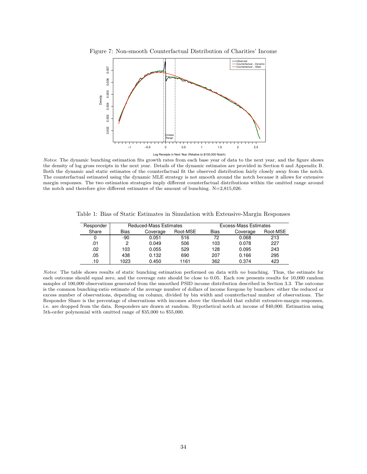

*Notes*: The dynamic bunching estimation fits growth rates from each base year of data to the next year, and the figure shows the density of log gross receipts in the next year. Details of the dynamic estimates are provided in Section 6 and Appendix B. Both the dynamic and static estimates of the counterfactual fit the observed distribution fairly closely away from the notch. The counterfactual estimated using the dynamic MLE strategy is not smooth around the notch because it allows for extensive margin responses. The two estimation strategies imply different counterfactual distributions within the omitted range around the notch and therefore give different estimates of the amount of bunching. N=2,815,026.

|  |  |  |  |  | Table 1: Bias of Static Estimates in Simulation with Extensive-Margin Responses |  |  |  |  |
|--|--|--|--|--|---------------------------------------------------------------------------------|--|--|--|--|
|--|--|--|--|--|---------------------------------------------------------------------------------|--|--|--|--|

| Responder | <b>Reduced-Mass Estimates</b> |          |          |             | Excess-Mass Estimates |          |  |  |
|-----------|-------------------------------|----------|----------|-------------|-----------------------|----------|--|--|
| Share     | Bias                          | Coverage | Root-MSE | <b>Bias</b> | Coverage              | Root-MSE |  |  |
| 0         | -90                           | 0.051    | 516      | 72          | 0.068                 | 213      |  |  |
| .01       | 2                             | 0.049    | 506      | 103         | 0.078                 | 227      |  |  |
| .02       | 103                           | 0.055    | 529      | 128         | 0.095                 | 243      |  |  |
| .05       | 438                           | 0.132    | 690      | 207         | 0.166                 | 295      |  |  |
| .10       | 1023                          | 0.450    | 1161     | 362         | 0.374                 | 423      |  |  |

*Notes*: The table shows results of static bunching estimation performed on data with *no* bunching. Thus, the estimate for each outcome should equal zero, and the coverage rate should be close to 0.05. Each row presents results for 10,000 random samples of 100,000 observations generated from the smoothed PSID income distribution described in Section 3.3. The outcome is the common bunching-ratio estimate of the average number of dollars of income foregone by bunchers: either the reduced or excess number of observations, depending on column, divided by bin width and counterfactual number of observations. The Responder Share is the percentage of observations with incomes above the threshold that exhibit extensive-margin responses, i.e. are dropped from the data. Responders are drawn at random. Hypothetical notch at income of \$40,000. Estimation using 5th-order polynomial with omitted range of \$35,000 to \$55,000.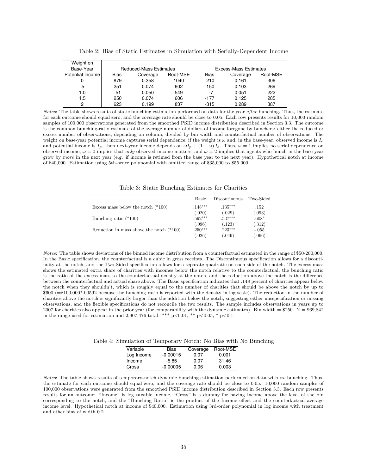| Weight on<br>Base-Year |      | Reduced-Mass Estimates |          |             | Excess-Mass Estimates |          |
|------------------------|------|------------------------|----------|-------------|-----------------------|----------|
| Potential Income       | Bias | Coverage               | Root-MSE | <b>Bias</b> | Coverage              | Root-MSE |
| 0                      | 879  | 0.358                  | 1040     | 210         | 0.161                 | 306      |
| .5                     | 251  | 0.074                  | 602      | 150         | 0.103                 | 269      |
| 1.0                    | 51   | 0.050                  | 549      | -7          | 0.051                 | 222      |
| 1.5                    | 250  | 0.074                  | 606      | -177        | 0.125                 | 285      |
| 2                      | 623  | 0.199                  | 837      | $-315$      | 0.289                 | 387      |

Table 2: Bias of Static Estimates in Simulation with Serially-Dependent Income

*Notes*: The table shows results of static bunching estimation performed on data for the year *after* bunching. Thus, the estimate for each outcome should equal zero, and the coverage rate should be close to 0.05. Each row presents results for 10,000 random samples of 100,000 observations generated from the smoothed PSID income distribution described in Section 3.3. The outcome is the common bunching-ratio estimate of the average number of dollars of income foregone by bunchers: either the reduced or excess number of observations, depending on column, divided by bin width and counterfactual number of observations. The weight on base-year potential income captures serial dependence; if the weight is  $\omega$  and, in the base-year, observed income is  $I_o$ and potential income is  $I_p$ , then next-year income depends on  $\omega I_p + (1 - \omega) I_o$ . Thus,  $\omega = 1$  implies no serial dependence on observed income,  $\omega = 0$  implies that *only* observed income matters, and  $\omega = 2$  implies that agents who bunch in the base year grow by *more* in the next year (e.g. if income is retimed from the base year to the next year). Hypothetical notch at income of \$40,000. Estimation using 5th-order polynomial with omitted range of \$35,000 to \$55,000.

Table 3: Static Bunching Estimates for Charities

|                                            | Basic     | Discontinuous | Two-Sided |
|--------------------------------------------|-----------|---------------|-----------|
| Excess mass below the notch $(*100)$       | $.148***$ | $.135***$     | .152      |
|                                            | (.020)    | (.029)        | (.093)    |
| Bunching ratio $(*100)$                    | $.592***$ | $.537***$     | $.608*$   |
|                                            | (.096)    | (.123)        | (.312)    |
| Reduction in mass above the notch $(*100)$ | $.250***$ | $.223***$     | $-.055$   |
|                                            | (.026)    | (.049)        | (.066)    |

*Notes*: The table shows deviations of the binned income distribution from a counterfactual estimated in the range of \$50-200,000. In the Basic specification, the counterfactual is a cubic in gross receipts. The Discontinuous specification allows for a discontinuity at the notch, and the Two-Sided specification allows for a separate quadratic on each side of the notch. The excess mass shows the estimated extra share of charities with incomes below the notch relative to the counterfactual, the bunching ratio is the ratio of the excess mass to the counterfactual density at the notch, and the reduction above the notch is the difference between the counterfactual and actual share above. The Basic specification indicates that .148 percent of charities appear below the notch when they shouldn't, which is roughly equal to the number of charities that should be above the notch by up to \$600 (=\$100,000\*.00592 because the bunching ratio is reported with the density in log scale). The reduction in the number of charities above the notch is significantly larger than the addition below the notch, suggesting either misspecification or missing observations, and the flexible specifications do not reconcile the two results. The sample includes observations in years up to 2007 for charities also appear in the prior year (for comparability with the dynamic estimates). Bin width  $= $250$ . N  $= 969,842$ in the range used for estimation and 2,907,476 total. \*\*\* p<0.01, \*\* p<0.05, \* p<0.1

Table 4: Simulation of Temporary Notch: No Bias with No Bunching

| Variable   | Bias       | Coverage | Root-MSE |
|------------|------------|----------|----------|
| Log Income | $-0.00015$ | 0.07     | 0.001    |
| Income     | $-5.85$    | 0.07     | 31.46    |
| Cross      | $-0.00005$ | 0.06     | 0.003    |

*Notes*: The table shows results of temporary-notch dynamic bunching estimation performed on data with *no* bunching. Thus, the estimate for each outcome should equal zero, and the coverage rate should be close to 0.05. 10,000 random samples of 100,000 observations were generated from the smoothed PSID income distribution described in Section 3.3. Each row presents results for an outcome: "Income" is log taxable income, "Cross" is a dummy for having income above the level of the bin corresponding to the notch, and the "Bunching Ratio" is the product of the Income effect and the counterfactual average income level. Hypothetical notch at income of \$40,000. Estimation using 3rd-order polynomial in log income with treatment and other bins of width 0.2.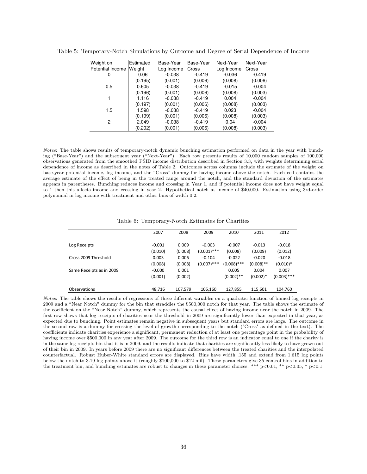| Weight on        | Estimated | Base-Year  | Base-Year | Next-Year  | Next-Year |
|------------------|-----------|------------|-----------|------------|-----------|
| Potential Income | Weight    | Log Income | Cross     | Log Income | Cross     |
| 0                | 0.06      | $-0.038$   | $-0.419$  | $-0.036$   | $-0.419$  |
|                  | (0.195)   | (0.001)    | (0.006)   | (0.008)    | (0.006)   |
| 0.5              | 0.605     | $-0.038$   | $-0.419$  | $-0.015$   | $-0.004$  |
|                  | (0.196)   | (0.001)    | (0.006)   | (0.008)    | (0.003)   |
|                  | 1.116     | $-0.038$   | $-0.419$  | 0.004      | $-0.004$  |
|                  | (0.197)   | (0.001)    | (0.006)   | (0.008)    | (0.003)   |
| 1.5              | 1.598     | $-0.038$   | $-0.419$  | 0.023      | $-0.004$  |
|                  | (0.199)   | (0.001)    | (0.006)   | (0.008)    | (0.003)   |
| 2                | 2.049     | $-0.038$   | $-0.419$  | 0.04       | $-0.004$  |
|                  | (0.202)   | (0.001)    | (0.006)   | (0.008)    | (0.003)   |

Table 5: Temporary-Notch Simulations by Outcome and Degree of Serial Dependence of Income

*Notes*: The table shows results of temporary-notch dynamic bunching estimation performed on data in the year with bunching ("Base-Year") and the subsequent year ("Next-Year"). Each row presents results of 10,000 random samples of 100,000 observations generated from the smoothed PSID income distribution described in Section 3.3, with weights determining serial dependence of income as described in the notes of Table 2. Outcomes across columns include the estimate of the weight on base-year potential income, log income, and the "Cross" dummy for having income above the notch. Each cell contains the average estimate of the effect of being in the treated range around the notch, and the standard deviation of the estimates appears in parentheses. Bunching reduces income and crossing in Year 1, and if potential income does not have weight equal to 1 then this affects income and crossing in year 2. Hypothetical notch at income of \$40,000. Estimation using 3rd-order polynomial in log income with treatment and other bins of width 0.2.

Table 6: Temporary-Notch Estimates for Charities

|                          | 2007     | 2008    | 2009          | 2010          | 2011         | 2012          |
|--------------------------|----------|---------|---------------|---------------|--------------|---------------|
| Log Receipts             | $-0.001$ | 0.009   | $-0.003$      | $-0.007$      | $-0.013$     | $-0.018$      |
|                          | (0.010)  | (0.008) | $(0.001)$ *** | (0.008)       | (0.009)      | (0.012)       |
| Cross 2009 Threshold     | 0.003    | 0.006   | $-0.104$      | $-0.022$      | $-0.020$     | $-0.018$      |
|                          | (0.008)  | (0.008) | $(0.007)$ *** | $(0.008)$ *** | $(0.008)$ ** | $(0.010)*$    |
| Same Receipts as in 2009 | $-0.000$ | 0.001   |               | 0.005         | 0.004        | 0.007         |
|                          | (0.001)  | (0.002) |               | $(0.002)$ **  | $(0.002)*$   | $(0.003)$ *** |
| <b>Observations</b>      | 48.716   | 107,579 | 105,160       | 127,855       | 115,601      | 104,760       |

*Notes*: The table shows the results of regressions of three different variables on a quadratic function of binned log receipts in 2009 and a "Near Notch" dummy for the bin that straddles the \$500,000 notch for that year. The table shows the estimate of the coefficient on the "Near Notch" dummy, which represents the causal effect of having income near the notch in 2009. The first row shows that log receipts of charities near the threshold in 2009 are significantly lower than expected in that year, as expected due to bunching. Point estimates remain negative in subsequent years but standard errors are large. The outcome in the second row is a dummy for crossing the level of growth corresponding to the notch ("Cross" as defined in the text). The coefficients indicate charities experience a significant, permanent reduction of at least one percentage point in the probability of having income over \$500,000 in any year after 2009. The outcome for the third row is an indicator equal to one if the charity is in the same log receipts bin that it is in 2009, and the results indicate that charities are significantly less likely to have grown out of their bin in 2009. In years before 2009 there are no significant differences between the treated charities and the interpolated counterfactual. Robust Huber-White standard errors are displayed. Bins have width .155 and extend from 1.615 log points below the notch to 3.19 log points above it (roughly \$100,000 to \$12 mil). These parameters give 35 control bins in addition to the treatment bin, and bunching estimates are robust to changes in these parameter choices. \*\*\* p<0.01, \*\* p<0.05, \* p<0.1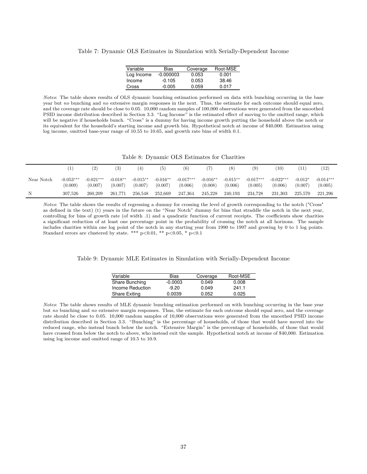|  |  |  |  |  | Table 7: Dynamic OLS Estimates in Simulation with Serially-Dependent Income |  |  |
|--|--|--|--|--|-----------------------------------------------------------------------------|--|--|
|--|--|--|--|--|-----------------------------------------------------------------------------|--|--|

| Variable   | Bias        | Coverage | Root-MSE |
|------------|-------------|----------|----------|
| Log Income | $-0.000003$ | 0.053    | 0.001    |
| Income     | $-0.105$    | 0.053    | 38.46    |
| Cross      | $-0.005$    | 0.059    | 0.017    |

*Notes*: The table shows results of OLS dynamic bunching estimation performed on data with bunching occurring in the base year but *no* bunching and *no* extensive margin responses in the next. Thus, the estimate for each outcome should equal zero, and the coverage rate should be close to 0.05. 10,000 random samples of 100,000 observations were generated from the smoothed PSID income distribution described in Section 3.3. "Log Income" is the estimated effect of moving to the omitted range, which will be negative if households bunch. "Cross" is a dummy for having income growth putting the household above the notch or its equivalent for the household's starting income and growth bin. Hypothetical notch at income of \$40,000. Estimation using log income, omitted base-year range of 10.55 to 10.65, and growth rate bins of width 0.1.

Table 8: Dynamic OLS Estimates for Charities

|            |                        | (2)                    | (3)                   | (4)                    | (5)                   | (6)                    |                       | (8)                    | (9)                    | (10)                   |                      | (12)                   |
|------------|------------------------|------------------------|-----------------------|------------------------|-----------------------|------------------------|-----------------------|------------------------|------------------------|------------------------|----------------------|------------------------|
| Near Notch | $-0.053***$<br>(0.009) | $-0.021***$<br>(0.007) | $-0.018**$<br>(0.007) | $-0.015***$<br>(0.007) | $-0.016**$<br>(0.007) | $-0.017***$<br>(0.006) | $-0.016**$<br>(0.008) | $-0.015***$<br>(0.006) | $-0.017***$<br>(0.005) | $-0.022***$<br>(0.006) | $-0.012*$<br>(0.007) | $-0.014***$<br>(0.005) |
| N          | 307.526                | 260,209                | 261,771               | 256,548                | 252,669               | 247,364                | 245,228               | 240,193                | 234,728                | 231,303                | 225,570              | 221.296                |

Notes: *Notes*: The table shows the results of regressing a dummy for crossing the level of growth corresponding to the notch ("Cross" as defined in the text) (t) years in the future on the "Near Notch" dummy for bins that straddle the notch in the next year, controlling for bins of growth rate (of width .1) and a quadratic function of current receipts. The coefficients show charities a significant reduction of at least one percentage point in the probability of crossing the notch at all horizons. The sample includes charities within one log point of the notch in any starting year from 1990 to 1997 and growing by 0 to 1 log points. Standard errors are clustered by state. \*\*\* p<0.01, \*\* p<0.05, \* p<0.1

Table 9: Dynamic MLE Estimates in Simulation with Serially-Dependent Income

| Variable             | Bias      | Coverage | Root-MSE |
|----------------------|-----------|----------|----------|
| Share Bunching       | $-0.0003$ | 0.049    | 0.008    |
| Income Reduction     | $-9.20$   | 0.049    | 241.1    |
| <b>Share Exiting</b> | 0.0039    | 0.052    | 0.025    |

*Notes*: The table shows results of MLE dynamic bunching estimation performed on with bunching occurring in the base year but *no* bunching and *no* extensive margin responses. Thus, the estimate for each outcome should equal zero, and the coverage rate should be close to 0.05. 10,000 random samples of 10,000 observations were generated from the smoothed PSID income distribution described in Section 3.3. "Bunching" is the percentage of households, of those that would have moved into the reduced range, who instead bunch below the notch. "Extensive Margin" is the percentage of households, of those that would have crossed from below the notch to above, who instead exit the sample. Hypothetical notch at income of \$40,000. Estimation using log income and omitted range of 10.5 to 10.9.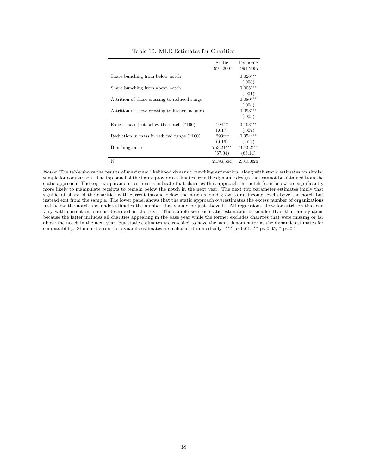|           | Dynamic                                                                      |
|-----------|------------------------------------------------------------------------------|
|           | 1991-2007                                                                    |
|           |                                                                              |
|           | $0.026***$                                                                   |
|           | (.003)                                                                       |
|           | $0.005***$                                                                   |
|           |                                                                              |
|           | (.001)                                                                       |
|           | $0.080***$                                                                   |
|           | (.004)                                                                       |
|           | $0.093***$                                                                   |
|           | (.005)                                                                       |
|           |                                                                              |
| $.194***$ | $0.103***$                                                                   |
|           | (.007)                                                                       |
|           | $0.354***$                                                                   |
|           | (.012)                                                                       |
|           |                                                                              |
|           | $404.92***$                                                                  |
|           | (65.14)                                                                      |
| 2,196,564 | 2,815,026                                                                    |
|           | Static<br>1991-2007<br>(.017)<br>$.293***$<br>(.019)<br>753.21***<br>(67.04) |

#### Table 10: MLE Estimates for Charities

*Notes*: The table shows the results of maximum likelihood dynamic bunching estimation, along with static estimates on similar sample for comparison. The top panel of the figure provides estimates from the dynamic design that cannot be obtained from the static approach. The top two parameter estimates indicate that charities that approach the notch from below are significantly more likely to manipulate receipts to remain below the notch in the next year. The next two parameter estimates imply that significant share of the charities with current income below the notch should grow to an income level above the notch but instead exit from the sample. The lower panel shows that the static approach overestimates the excess number of organizations just below the notch and underestimates the number that should be just above it. All regressions allow for attrition that can vary with current income as described in the text. The sample size for static estimation is smaller than that for dynamic because the latter includes all charities appearing in the base year while the former excludes charities that were missing or far above the notch in the next year, but static estimates are rescaled to have the same denominator as the dynamic estimates for comparability. Standard errors for dynamic estimates are calculated numerically. \*\*\* p<0.01, \*\* p<0.05, \* p<0.1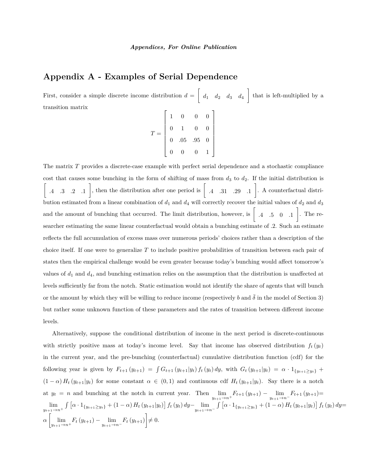## **Appendix A - Examples of Serial Dependence**

First, consider a simple discrete income distribution  $d = \left\lceil \frac{d}{d} \right\rceil$  $d_1$   $d_2$   $d_3$   $d_4$  that is left-multiplied by a transition matrix  $\Gamma$ 1

$$
T = \left[\begin{array}{cccc} 1 & 0 & 0 & 0 \\ 0 & 1 & 0 & 0 \\ 0 & .05 & .95 & 0 \\ 0 & 0 & 0 & 1 \end{array}\right]
$$

The matrix T provides a discrete-case example with perfect serial dependence and a stochastic compliance cost that causes some bunching in the form of shifting of mass from  $d_3$  to  $d_2$ . If the initial distribution is  $\lceil$ .4 .3 .2 .1 , then the distribution after one period is  $\begin{bmatrix} .4 & .31 & .29 \end{bmatrix}$ . . A counterfactual distribution estimated from a linear combination of  $d_1$  and  $d_4$  will correctly recover the initial values of  $d_2$  and  $d_3$ and the amount of bunching that occurred. The limit distribution, however, is  $\begin{bmatrix} .4 & .5 & 0 & .1 \end{bmatrix}$  . The researcher estimating the same linear counterfactual would obtain a bunching estimate of .2. Such an estimate reflects the full accumulation of excess mass over numerous periods' choices rather than a description of the choice itself. If one were to generalize T to include positive probabilities of transition between each pair of states then the empirical challenge would be even greater because today's bunching would affect tomorrow's values of  $d_1$  and  $d_4$ , and bunching estimation relies on the assumption that the distribution is unaffected at levels sufficiently far from the notch. Static estimation would not identify the share of agents that will bunch or the amount by which they will be willing to reduce income (respectively b and  $\bar{\delta}$  in the model of Section 3) but rather some unknown function of these parameters and the rates of transition between different income levels.

Alternatively, suppose the conditional distribution of income in the next period is discrete-continuous with strictly positive mass at today's income level. Say that income has observed distribution  $f_t(y_t)$ in the current year, and the pre-bunching (counterfactual) cumulative distribution function (cdf) for the following year is given by  $F_{t+1} (y_{t+1}) = \int G_{t+1} (y_{t+1}|y_t) f_t (y_t) dy$ , with  $G_t (y_{t+1}|y_t) = \alpha \cdot 1_{\{y_{t+1} \ge y_t\}} +$  $(1 - \alpha) H_t(y_{t+1}|y_t)$  for some constant  $\alpha \in (0,1)$  and continuous cdf  $H_t(y_{t+1}|y_t)$ . Say there is a notch at  $y_t = n$  and bunching at the notch in current year. Then  $\lim_{y_{t+1} \to n^+} F_{t+1}(y_{t+1}) - \lim_{y_{t+1} \to n^-} F_{t+1}(y_{t+1}) =$  $\lim_{y_{t+1}\to n^+} \int \left[ \alpha \cdot 1_{\{y_{t+1}\geq y_t\}} + (1-\alpha) H_t(y_{t+1}|y_t) \right] f_t(y_t) dy - \lim_{y_{t+1}\to n^-} \int \left[ \alpha \cdot 1_{\{y_{t+1}\geq y_t\}} + (1-\alpha) H_t(y_{t+1}|y_t) \right] f_t(y_t) dy =$  $\alpha \left[ \lim_{y_{t+1} \to n^+} F_t (y_{t+1}) - \lim_{y_{t+1} \to n^-} F_t (y_{t+1}) \right] \neq 0.$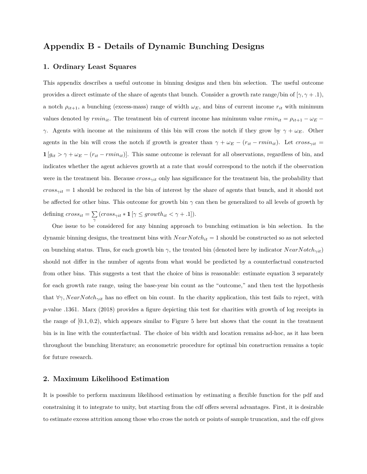## **Appendix B - Details of Dynamic Bunching Designs**

#### **1. Ordinary Least Squares**

This appendix describes a useful outcome in binning designs and then bin selection. The useful outcome provides a direct estimate of the share of agents that bunch. Consider a growth rate range/bin of  $[\gamma, \gamma + .1]$ , a notch  $\rho_{it+1}$ , a bunching (excess-mass) range of width  $\omega_E$ , and bins of current income  $r_{it}$  with minimum values denoted by  $rmin_{it}$ . The treatment bin of current income has minimum value  $rmin_{it} = \rho_{it+1} - \omega_E$ γ. Agents with income at the minimum of this bin will cross the notch if they grow by  $γ + ω_E$ . Other agents in the bin will cross the notch if growth is greater than  $\gamma + \omega_E - (r_{it} - rmin_{it})$ . Let  $cross_{\gamma it} =$  $1 [g_{it} > \gamma + \omega_E - (r_{it} - rmin_{it})]$ . This same outcome is relevant for all observations, regardless of bin, and indicates whether the agent achieves growth at a rate that *would* correspond to the notch if the observation were in the treatment bin. Because  $cross_{\gamma it}$  only has significance for the treatment bin, the probability that  $cross_{\gamma it} = 1$  should be reduced in the bin of interest by the share of agents that bunch, and it should not be affected for other bins. This outcome for growth bin  $\gamma$  can then be generalized to all levels of growth by defining  $cross_{it} = \sum_{\gamma} (cross_{\gamma it} * \mathbf{1} [\gamma \le growth_{it} < \gamma + .1]).$ 

One issue to be considered for any binning approach to bunching estimation is bin selection. In the dynamic binning designs, the treatment bins with  $NearNotch_{it} = 1$  should be constructed so as not selected on bunching status. Thus, for each growth bin  $\gamma$ , the treated bin (denoted here by indicator  $NearNotch_{\gamma it}$ ) should not differ in the number of agents from what would be predicted by a counterfactual constructed from other bins. This suggests a test that the choice of bins is reasonable: estimate equation 3 separately for each growth rate range, using the base-year bin count as the "outcome," and then test the hypothesis that  $\forall \gamma$ , NearNotch<sub> $\gamma$ it</sub> has no effect on bin count. In the charity application, this test fails to reject, with p-value .1361. Marx (2018) provides a figure depicting this test for charities with growth of log receipts in the range of  $[0.1, 0.2)$ , which appears similar to Figure 5 here but shows that the count in the treatment bin is in line with the counterfactual. The choice of bin width and location remains ad-hoc, as it has been throughout the bunching literature; an econometric procedure for optimal bin construction remains a topic for future research.

#### **2. Maximum Likelihood Estimation**

It is possible to perform maximum likelihood estimation by estimating a flexible function for the pdf and constraining it to integrate to unity, but starting from the cdf offers several advantages. First, it is desirable to estimate excess attrition among those who cross the notch or points of sample truncation, and the cdf gives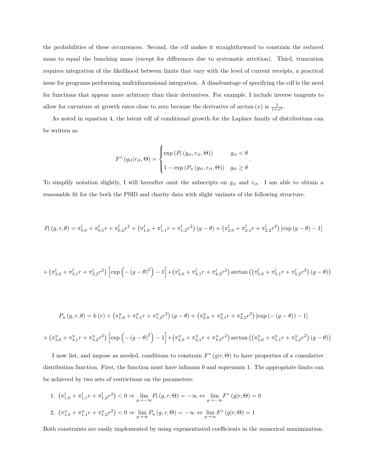the probabilities of these occurrences. Second, the cdf makes it straightforward to constrain the reduced mass to equal the bunching mass (except for differences due to systematic attrition). Third, truncation requires integration of the likelihood between limits that vary with the level of current receipts, a practical issue for programs performing multidimensional integration. A disadvantage of specifying the cdf is the need for functions that appear more arbitrary than their derivatives. For example, I include inverse tangents to allow for curvature at growth rates close to zero because the derivative of arctan  $(x)$  is  $\frac{1}{1+x^2}$ .

As noted in equation 4, the latent cdf of conditional growth for the Laplace family of distributions can be written as

$$
F^*(g_{it}|r_{it},\Theta) = \begin{cases} \exp(P_l(g_{it},r_{it},\Theta)) & g_{it} < \theta \\ 1 - \exp(P_u(g_{it},r_{it},\Theta)) & g_{it} \ge \theta \end{cases}.
$$

To simplify notation slightly, I will hereafter omit the subscripts on  $g_{it}$  and  $r_{it}$ . I am able to obtain a reasonable fit for the both the PSID and charity data with slight variants of the following structure.

$$
P_l(g,r,\theta) = \pi_{0,0}^l + \pi_{0,1}^l r + \pi_{0,2}^l r^2 + (\pi_{1,0}^l + \pi_{1,1}^l r + \pi_{1,2}^l r^2) (g-\theta) + (\pi_{2,0}^l + \pi_{2,1}^l r + \pi_{2,2}^l r^2) [\exp(g-\theta) - 1]
$$

$$
+\left(\pi_{3,0}^l+\pi_{3,1}^l r+\pi_{3,2}^l r^2\right) \left[\exp\left(-\left(g-\theta\right)^2\right)-1\right]+\left(\pi_{4,0}^l+\pi_{4,1}^l r+\pi_{4,2}^l r^2\right) \arctan\left(\left(\pi_{5,0}^l+\pi_{5,1}^l r+\pi_{5,2}^l r^2\right)\left(g-\theta\right)\right)\right]
$$

$$
P_u(g,r,\theta) = h(r) + \left(\pi_{1,0}^u + \pi_{1,1}^u r + \pi_{1,2}^u r^2\right)(g-\theta) + \left(\pi_{2,0}^u + \pi_{2,1}^u r + \pi_{2,2}^u r^2\right)\left[\exp\left(-(g-\theta)\right) - 1\right]
$$

$$
+\left(\pi_{3,0}^{u}+\pi_{3,1}^{u}r+\pi_{3,2}^{u}r^{2}\right)\left[\exp\left(-\left(g-\theta\right)^{2}\right)-1\right]+\left(\pi_{4,0}^{u}+\pi_{4,1}^{u}r+\pi_{4,2}^{u}r^{2}\right)\arctan\left(\left(\pi_{5,0}^{u}+\pi_{5,1}^{u}r+\pi_{5,2}^{u}r^{2}\right)\left(g-\theta\right)\right)\right]
$$

I now list, and impose as needed, conditions to constrain  $F^*(g|r, \Theta)$  to have properties of a cumulative distribution function. First, the function must have infimum 0 and supremum 1. The appropriate limits can be achieved by two sets of restrictions on the parameters:

1.  $(\pi_{1,0}^l + \pi_{1,1}^l r + \pi_{1,2}^l r^2) < 0 \Rightarrow \lim_{g \to -\infty} P_l(g, r, \Theta) = -\infty \Leftrightarrow \lim_{g \to -\infty} F^*(g|r, \Theta) = 0$ 2.  $\left(\pi_{1,0}^u + \pi_{1,1}^u r + \pi_{1,2}^u r^2\right) < 0 \Rightarrow \lim_{g \to \infty} P_u(g, r, \Theta) = -\infty \Leftrightarrow \lim_{g \to \infty} F^*(g|r, \Theta) = 1$ 

Both constraints are easily implemented by using exponentiated coefficients in the numerical maximization.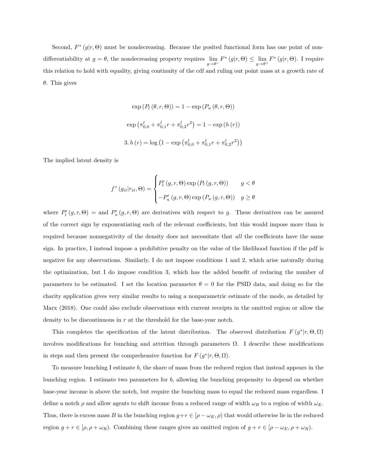Second,  $F^*(g|r, \Theta)$  must be nondecreasing. Because the posited functional form has one point of nondifferentiability at  $g = \theta$ , the nondecreasing property requires  $\lim_{g \to \theta^-} F^*(g|r, \Theta) \leq \lim_{g \to \theta^+} F^*(g|r, \Theta)$ . I require this relation to hold with equality, giving continuity of the cdf and ruling out point mass at a growth rate of θ. This gives

$$
\exp(P_l(\theta, r, \Theta)) = 1 - \exp(P_u(\theta, r, \Theta))
$$

$$
\exp(\pi_{0,0}^l + \pi_{0,1}^l r + \pi_{0,2}^l r^2) = 1 - \exp(h(r))
$$

$$
3. h(r) = \log(1 - \exp(\pi_{0,0}^l + \pi_{0,1}^l r + \pi_{0,2}^l r^2))
$$

The implied latent density is

$$
f^*(g_{it}|r_{it},\Theta) = \begin{cases} P'_l(g,r,\Theta) \exp(P_l(g,r,\Theta)) & g < \theta \\ -P'_u(g,r,\Theta) \exp(P_u(g,r,\Theta)) & g \ge \theta \end{cases}
$$

where  $P'_{l}(g, r, \Theta) =$  and  $P'_{u}(g, r, \Theta)$  are derivatives with respect to g. These derivatives can be assured of the correct sign by exponentiating each of the relevant coefficients, but this would impose more than is required because nonnegativity of the density does not necessitate that *all* the coefficients have the same sign. In practice, I instead impose a prohibitive penalty on the value of the likelihood function if the pdf is negative for any observations. Similarly, I do not impose conditions 1 and 2, which arise naturally during the optimization, but I do impose condition 3, which has the added benefit of reducing the number of parameters to be estimated. I set the location parameter  $\theta = 0$  for the PSID data, and doing so for the charity application gives very similar results to using a nonparametric estimate of the mode, as detailed by Marx (2018). One could also exclude observations with current receipts in the omitted region or allow the density to be discontinuous in  $r$  at the threshold for the base-year notch.

This completes the specification of the latent distribution. The observed distribution  $F(g^*|r, \Theta, \Omega)$ involves modifications for bunching and attrition through parameters  $\Omega$ . I describe these modifications in steps and then present the comprehensive function for  $F(g^*|r, \Theta, \Omega)$ .

To measure bunching I estimate b, the share of mass from the reduced region that instead appears in the bunching region. I estimate two parameters for b, allowing the bunching propensity to depend on whether base-year income is above the notch, but require the bunching mass to equal the reduced mass regardless. I define a notch  $\rho$  and allow agents to shift income from a reduced range of width  $\omega_R$  to a region of width  $\omega_E$ . Thus, there is excess mass B in the bunching region  $g+r \in [\rho - \omega_E, \rho)$  that would otherwise lie in the reduced region  $g + r \in [\rho, \rho + \omega_R)$ . Combining these ranges gives an omitted region of  $g + r \in [\rho - \omega_E, \rho + \omega_R)$ .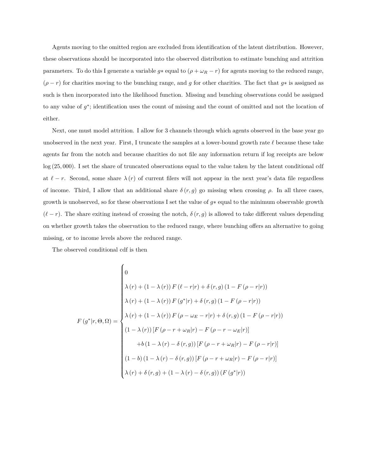Agents moving to the omitted region are excluded from identification of the latent distribution. However, these observations should be incorporated into the observed distribution to estimate bunching and attrition parameters. To do this I generate a variable  $g*$  equal to  $(\rho + \omega_R - r)$  for agents moving to the reduced range,  $(\rho - r)$  for charities moving to the bunching range, and g for other charities. The fact that g∗ is assigned as such is then incorporated into the likelihood function. Missing and bunching observations could be assigned to any value of  $g^*$ ; identification uses the count of missing and the count of omitted and not the location of either.

Next, one must model attrition. I allow for 3 channels through which agents observed in the base year go unobserved in the next year. First, I truncate the samples at a lower-bound growth rate  $\ell$  because these take agents far from the notch and because charities do not file any information return if log receipts are below log (25, 000). I set the share of truncated observations equal to the value taken by the latent conditional cdf at  $\ell - r$ . Second, some share  $\lambda(r)$  of current filers will not appear in the next year's data file regardless of income. Third, I allow that an additional share  $\delta(r, g)$  go missing when crossing  $\rho$ . In all three cases, growth is unobserved, so for these observations I set the value of  $g*$  equal to the minimum observable growth  $(\ell - r)$ . The share exiting instead of crossing the notch,  $\delta(r, g)$  is allowed to take different values depending on whether growth takes the observation to the reduced range, where bunching offers an alternative to going missing, or to income levels above the reduced range.

The observed conditional cdf is then

$$
F(g^*|r, \Theta, \Omega) = \begin{cases} 0 \\ \lambda(r) + (1 - \lambda(r)) F(\ell - r|r) + \delta(r, g) (1 - F(\rho - r|r)) \\ \lambda(r) + (1 - \lambda(r)) F(g^*|r) + \delta(r, g) (1 - F(\rho - r|r)) \\ \lambda(r) + (1 - \lambda(r)) F(\rho - \omega_E - r|r) + \delta(r, g) (1 - F(\rho - r|r)) \\ (1 - \lambda(r)) [F(\rho - r + \omega_R|r) - F(\rho - r - \omega_E|r)] \\ + b(1 - \lambda(r) - \delta(r, g)) [F(\rho - r + \omega_R|r) - F(\rho - r|r)] \\ (1 - b) (1 - \lambda(r) - \delta(r, g)) [F(\rho - r + \omega_R|r) - F(\rho - r|r)] \\ \lambda(r) + \delta(r, g) + (1 - \lambda(r) - \delta(r, g)) (F(g^*|r)) \end{cases}
$$